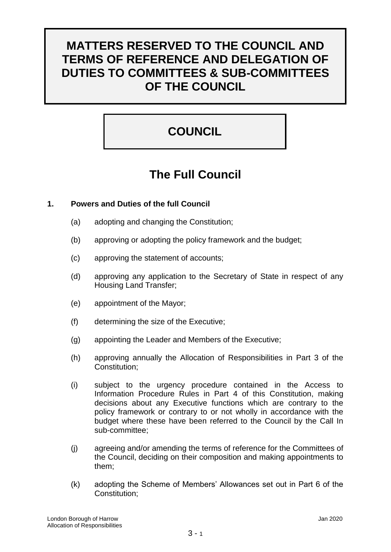# **MATTERS RESERVED TO THE COUNCIL AND TERMS OF REFERENCE AND DELEGATION OF DUTIES TO COMMITTEES & SUB-COMMITTEES OF THE COUNCIL**

# **COUNCIL**

# **The Full Council**

# **1. Powers and Duties of the full Council**

- (a) adopting and changing the Constitution;
- (b) approving or adopting the policy framework and the budget;
- (c) approving the statement of accounts;
- (d) approving any application to the Secretary of State in respect of any Housing Land Transfer;
- (e) appointment of the Mayor;
- (f) determining the size of the Executive;
- (g) appointing the Leader and Members of the Executive;
- (h) approving annually the Allocation of Responsibilities in Part 3 of the Constitution;
- (i) subject to the urgency procedure contained in the Access to Information Procedure Rules in Part 4 of this Constitution, making decisions about any Executive functions which are contrary to the policy framework or contrary to or not wholly in accordance with the budget where these have been referred to the Council by the Call In sub-committee;
- (j) agreeing and/or amending the terms of reference for the Committees of the Council, deciding on their composition and making appointments to them;
- (k) adopting the Scheme of Members' Allowances set out in Part 6 of the Constitution;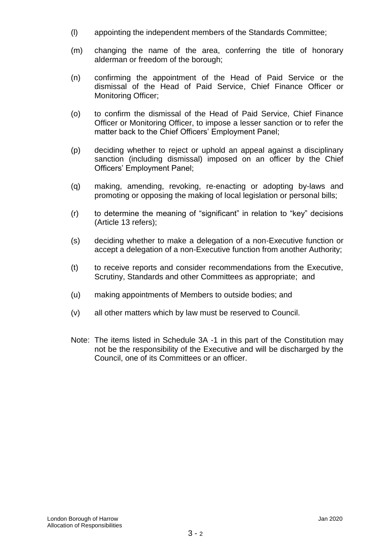- (l) appointing the independent members of the Standards Committee;
- (m) changing the name of the area, conferring the title of honorary alderman or freedom of the borough;
- (n) confirming the appointment of the Head of Paid Service or the dismissal of the Head of Paid Service, Chief Finance Officer or Monitoring Officer;
- (o) to confirm the dismissal of the Head of Paid Service, Chief Finance Officer or Monitoring Officer, to impose a lesser sanction or to refer the matter back to the Chief Officers' Employment Panel;
- (p) deciding whether to reject or uphold an appeal against a disciplinary sanction (including dismissal) imposed on an officer by the Chief Officers' Employment Panel;
- (q) making, amending, revoking, re-enacting or adopting by-laws and promoting or opposing the making of local legislation or personal bills;
- (r) to determine the meaning of "significant" in relation to "key" decisions (Article 13 refers);
- (s) deciding whether to make a delegation of a non-Executive function or accept a delegation of a non-Executive function from another Authority;
- (t) to receive reports and consider recommendations from the Executive, Scrutiny, Standards and other Committees as appropriate; and
- (u) making appointments of Members to outside bodies; and
- (v) all other matters which by law must be reserved to Council.
- Note: The items listed in Schedule 3A -1 in this part of the Constitution may not be the responsibility of the Executive and will be discharged by the Council, one of its Committees or an officer.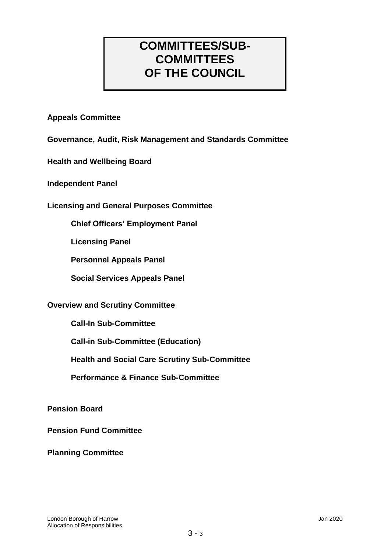# **COMMITTEES/SUB-COMMITTEES OF THE COUNCIL**

# **Appeals Committee**

**Governance, Audit, Risk Management and Standards Committee**

**Health and Wellbeing Board**

**Independent Panel**

**Licensing and General Purposes Committee** 

**Chief Officers' Employment Panel**

**Licensing Panel**

**Personnel Appeals Panel**

**Social Services Appeals Panel**

# **Overview and Scrutiny Committee**

**Call-In Sub-Committee**

**Call-in Sub-Committee (Education)**

**Health and Social Care Scrutiny Sub-Committee**

**Performance & Finance Sub-Committee**

**Pension Board**

**Pension Fund Committee**

**Planning Committee**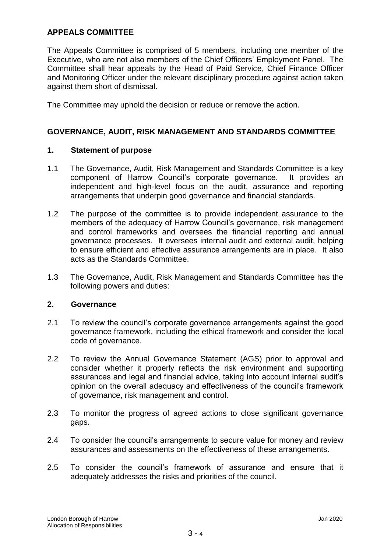# **APPEALS COMMITTEE**

The Appeals Committee is comprised of 5 members, including one member of the Executive, who are not also members of the Chief Officers' Employment Panel. The Committee shall hear appeals by the Head of Paid Service, Chief Finance Officer and Monitoring Officer under the relevant disciplinary procedure against action taken against them short of dismissal.

The Committee may uphold the decision or reduce or remove the action.

# **GOVERNANCE, AUDIT, RISK MANAGEMENT AND STANDARDS COMMITTEE**

#### **1. Statement of purpose**

- 1.1 The Governance, Audit, Risk Management and Standards Committee is a key component of Harrow Council's corporate governance. It provides an independent and high-level focus on the audit, assurance and reporting arrangements that underpin good governance and financial standards.
- 1.2 The purpose of the committee is to provide independent assurance to the members of the adequacy of Harrow Council's governance, risk management and control frameworks and oversees the financial reporting and annual governance processes. It oversees internal audit and external audit, helping to ensure efficient and effective assurance arrangements are in place. It also acts as the Standards Committee.
- 1.3 The Governance, Audit, Risk Management and Standards Committee has the following powers and duties:

#### **2. Governance**

- 2.1 To review the council's corporate governance arrangements against the good governance framework, including the ethical framework and consider the local code of governance.
- 2.2 To review the Annual Governance Statement (AGS) prior to approval and consider whether it properly reflects the risk environment and supporting assurances and legal and financial advice, taking into account internal audit's opinion on the overall adequacy and effectiveness of the council's framework of governance, risk management and control.
- 2.3 To monitor the progress of agreed actions to close significant governance gaps.
- 2.4 To consider the council's arrangements to secure value for money and review assurances and assessments on the effectiveness of these arrangements.
- 2.5 To consider the council's framework of assurance and ensure that it adequately addresses the risks and priorities of the council.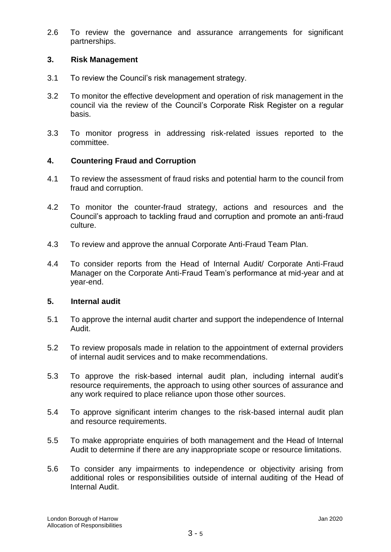2.6 To review the governance and assurance arrangements for significant partnerships.

# **3. Risk Management**

- 3.1 To review the Council's risk management strategy.
- 3.2 To monitor the effective development and operation of risk management in the council via the review of the Council's Corporate Risk Register on a regular basis.
- 3.3 To monitor progress in addressing risk-related issues reported to the committee.

# **4. Countering Fraud and Corruption**

- 4.1 To review the assessment of fraud risks and potential harm to the council from fraud and corruption.
- 4.2 To monitor the counter-fraud strategy, actions and resources and the Council's approach to tackling fraud and corruption and promote an anti-fraud culture.
- 4.3 To review and approve the annual Corporate Anti-Fraud Team Plan.
- 4.4 To consider reports from the Head of Internal Audit/ Corporate Anti-Fraud Manager on the Corporate Anti-Fraud Team's performance at mid-year and at year-end.

# **5. Internal audit**

- 5.1 To approve the internal audit charter and support the independence of Internal Audit.
- 5.2 To review proposals made in relation to the appointment of external providers of internal audit services and to make recommendations.
- 5.3 To approve the risk-based internal audit plan, including internal audit's resource requirements, the approach to using other sources of assurance and any work required to place reliance upon those other sources.
- 5.4 To approve significant interim changes to the risk-based internal audit plan and resource requirements.
- 5.5 To make appropriate enquiries of both management and the Head of Internal Audit to determine if there are any inappropriate scope or resource limitations.
- 5.6 To consider any impairments to independence or objectivity arising from additional roles or responsibilities outside of internal auditing of the Head of Internal Audit.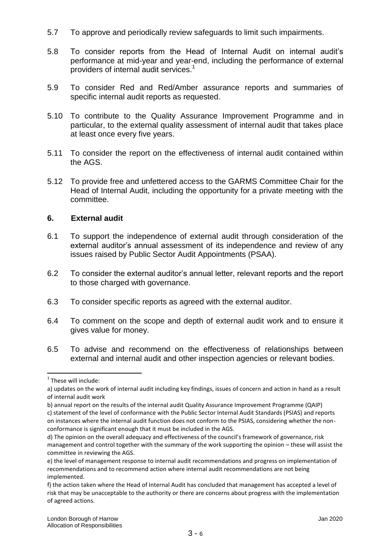- 5.7 To approve and periodically review safeguards to limit such impairments.
- 5.8 To consider reports from the Head of Internal Audit on internal audit's performance at mid-year and year-end, including the performance of external providers of internal audit services.<sup>1</sup>
- 5.9 To consider Red and Red/Amber assurance reports and summaries of specific internal audit reports as requested.
- 5.10 To contribute to the Quality Assurance Improvement Programme and in particular, to the external quality assessment of internal audit that takes place at least once every five years.
- 5.11 To consider the report on the effectiveness of internal audit contained within the AGS.
- 5.12 To provide free and unfettered access to the GARMS Committee Chair for the Head of Internal Audit, including the opportunity for a private meeting with the committee.

# **6. External audit**

- 6.1 To support the independence of external audit through consideration of the external auditor's annual assessment of its independence and review of any issues raised by Public Sector Audit Appointments (PSAA).
- 6.2 To consider the external auditor's annual letter, relevant reports and the report to those charged with governance.
- 6.3 To consider specific reports as agreed with the external auditor.
- 6.4 To comment on the scope and depth of external audit work and to ensure it gives value for money.
- 6.5 To advise and recommend on the effectiveness of relationships between external and internal audit and other inspection agencies or relevant bodies.

1

<sup>&</sup>lt;sup>1</sup> These will include:

a) updates on the work of internal audit including key findings, issues of concern and action in hand as a result of internal audit work

b) annual report on the results of the internal audit Quality Assurance Improvement Programme (QAIP) c) statement of the level of conformance with the Public Sector Internal Audit Standards (PSIAS) and reports

on instances where the internal audit function does not conform to the PSIAS, considering whether the nonconformance is significant enough that it must be included in the AGS.

d) The opinion on the overall adequacy and effectiveness of the council's framework of governance, risk management and control together with the summary of the work supporting the opinion – these will assist the committee in reviewing the AGS.

e) the level of management response to internal audit recommendations and progress on implementation of recommendations and to recommend action where internal audit recommendations are not being implemented.

f) the action taken where the Head of Internal Audit has concluded that management has accepted a level of risk that may be unacceptable to the authority or there are concerns about progress with the implementation of agreed actions.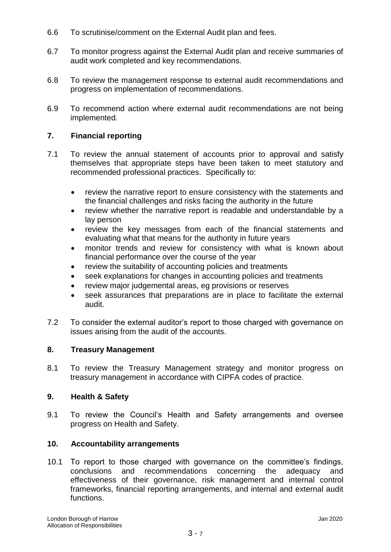- 6.6 To scrutinise/comment on the External Audit plan and fees.
- 6.7 To monitor progress against the External Audit plan and receive summaries of audit work completed and key recommendations.
- 6.8 To review the management response to external audit recommendations and progress on implementation of recommendations.
- 6.9 To recommend action where external audit recommendations are not being implemented.

# **7. Financial reporting**

- 7.1 To review the annual statement of accounts prior to approval and satisfy themselves that appropriate steps have been taken to meet statutory and recommended professional practices. Specifically to:
	- review the narrative report to ensure consistency with the statements and the financial challenges and risks facing the authority in the future
	- review whether the narrative report is readable and understandable by a lay person
	- review the key messages from each of the financial statements and evaluating what that means for the authority in future years
	- monitor trends and review for consistency with what is known about financial performance over the course of the year
	- review the suitability of accounting policies and treatments
	- seek explanations for changes in accounting policies and treatments
	- review major judgemental areas, eg provisions or reserves
	- seek assurances that preparations are in place to facilitate the external audit.
- 7.2 To consider the external auditor's report to those charged with governance on issues arising from the audit of the accounts.

# **8. Treasury Management**

8.1 To review the Treasury Management strategy and monitor progress on treasury management in accordance with CIPFA codes of practice.

# **9. Health & Safety**

9.1 To review the Council's Health and Safety arrangements and oversee progress on Health and Safety.

# **10. Accountability arrangements**

10.1 To report to those charged with governance on the committee's findings, conclusions and recommendations concerning the adequacy and effectiveness of their governance, risk management and internal control frameworks, financial reporting arrangements, and internal and external audit functions.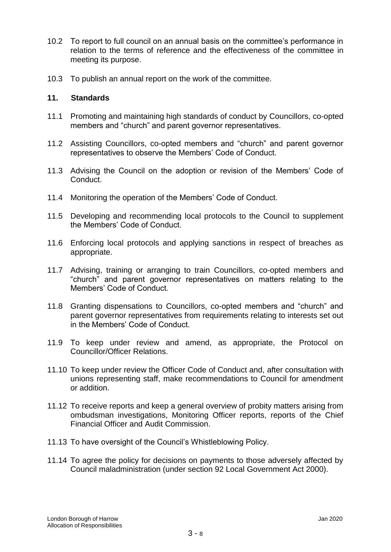- 10.2 To report to full council on an annual basis on the committee's performance in relation to the terms of reference and the effectiveness of the committee in meeting its purpose.
- 10.3 To publish an annual report on the work of the committee.

#### **11. Standards**

- 11.1 Promoting and maintaining high standards of conduct by Councillors, co-opted members and "church" and parent governor representatives.
- 11.2 Assisting Councillors, co-opted members and "church" and parent governor representatives to observe the Members' Code of Conduct.
- 11.3 Advising the Council on the adoption or revision of the Members' Code of Conduct.
- 11.4 Monitoring the operation of the Members' Code of Conduct.
- 11.5 Developing and recommending local protocols to the Council to supplement the Members' Code of Conduct.
- 11.6 Enforcing local protocols and applying sanctions in respect of breaches as appropriate.
- 11.7 Advising, training or arranging to train Councillors, co-opted members and "church" and parent governor representatives on matters relating to the Members' Code of Conduct.
- 11.8 Granting dispensations to Councillors, co-opted members and "church" and parent governor representatives from requirements relating to interests set out in the Members' Code of Conduct.
- 11.9 To keep under review and amend, as appropriate, the Protocol on Councillor/Officer Relations.
- 11.10 To keep under review the Officer Code of Conduct and, after consultation with unions representing staff, make recommendations to Council for amendment or addition.
- 11.12 To receive reports and keep a general overview of probity matters arising from ombudsman investigations, Monitoring Officer reports, reports of the Chief Financial Officer and Audit Commission.
- 11.13 To have oversight of the Council's Whistleblowing Policy.
- 11.14 To agree the policy for decisions on payments to those adversely affected by Council maladministration (under section 92 Local Government Act 2000).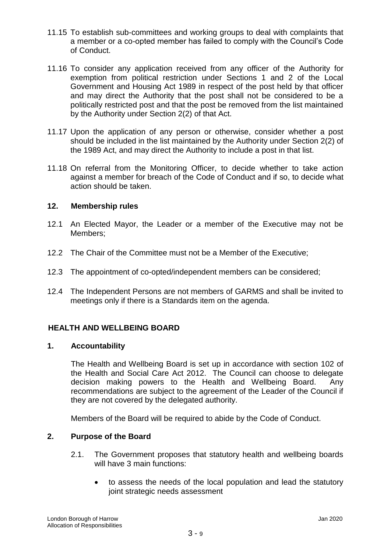- 11.15 To establish sub-committees and working groups to deal with complaints that a member or a co-opted member has failed to comply with the Council's Code of Conduct.
- 11.16 To consider any application received from any officer of the Authority for exemption from political restriction under Sections 1 and 2 of the Local Government and Housing Act 1989 in respect of the post held by that officer and may direct the Authority that the post shall not be considered to be a politically restricted post and that the post be removed from the list maintained by the Authority under Section 2(2) of that Act.
- 11.17 Upon the application of any person or otherwise, consider whether a post should be included in the list maintained by the Authority under Section 2(2) of the 1989 Act, and may direct the Authority to include a post in that list.
- 11.18 On referral from the Monitoring Officer, to decide whether to take action against a member for breach of the Code of Conduct and if so, to decide what action should be taken.

# **12. Membership rules**

- 12.1 An Elected Mayor, the Leader or a member of the Executive may not be Members;
- 12.2 The Chair of the Committee must not be a Member of the Executive;
- 12.3 The appointment of co-opted/independent members can be considered;
- 12.4 The Independent Persons are not members of GARMS and shall be invited to meetings only if there is a Standards item on the agenda.

# **HEALTH AND WELLBEING BOARD**

# **1. Accountability**

The Health and Wellbeing Board is set up in accordance with section 102 of the Health and Social Care Act 2012. The Council can choose to delegate decision making powers to the Health and Wellbeing Board. Any recommendations are subject to the agreement of the Leader of the Council if they are not covered by the delegated authority.

Members of the Board will be required to abide by the Code of Conduct.

# **2. Purpose of the Board**

- 2.1. The Government proposes that statutory health and wellbeing boards will have 3 main functions:
	- to assess the needs of the local population and lead the statutory joint strategic needs assessment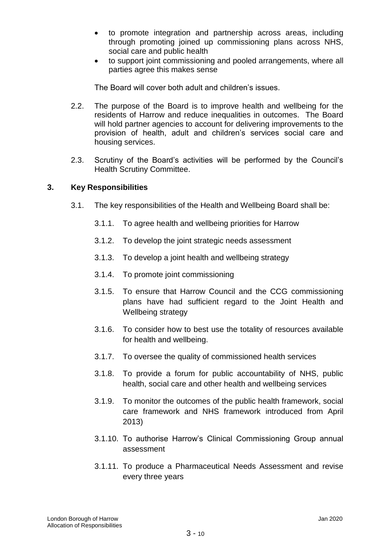- to promote integration and partnership across areas, including through promoting joined up commissioning plans across NHS, social care and public health
- to support joint commissioning and pooled arrangements, where all parties agree this makes sense

The Board will cover both adult and children's issues.

- 2.2. The purpose of the Board is to improve health and wellbeing for the residents of Harrow and reduce inequalities in outcomes. The Board will hold partner agencies to account for delivering improvements to the provision of health, adult and children's services social care and housing services.
- 2.3. Scrutiny of the Board's activities will be performed by the Council's Health Scrutiny Committee.

# **3. Key Responsibilities**

- 3.1. The key responsibilities of the Health and Wellbeing Board shall be:
	- 3.1.1. To agree health and wellbeing priorities for Harrow
	- 3.1.2. To develop the joint strategic needs assessment
	- 3.1.3. To develop a joint health and wellbeing strategy
	- 3.1.4. To promote joint commissioning
	- 3.1.5. To ensure that Harrow Council and the CCG commissioning plans have had sufficient regard to the Joint Health and Wellbeing strategy
	- 3.1.6. To consider how to best use the totality of resources available for health and wellbeing.
	- 3.1.7. To oversee the quality of commissioned health services
	- 3.1.8. To provide a forum for public accountability of NHS, public health, social care and other health and wellbeing services
	- 3.1.9. To monitor the outcomes of the public health framework, social care framework and NHS framework introduced from April 2013)
	- 3.1.10. To authorise Harrow's Clinical Commissioning Group annual assessment
	- 3.1.11. To produce a Pharmaceutical Needs Assessment and revise every three years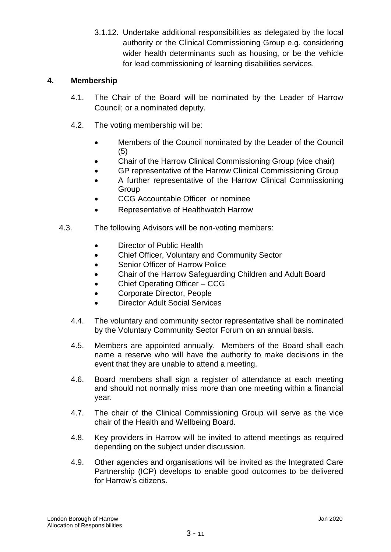3.1.12. Undertake additional responsibilities as delegated by the local authority or the Clinical Commissioning Group e.g. considering wider health determinants such as housing, or be the vehicle for lead commissioning of learning disabilities services.

# **4. Membership**

- 4.1. The Chair of the Board will be nominated by the Leader of Harrow Council; or a nominated deputy.
- 4.2. The voting membership will be:
	- Members of the Council nominated by the Leader of the Council (5)
	- Chair of the Harrow Clinical Commissioning Group (vice chair)
	- GP representative of the Harrow Clinical Commissioning Group
	- A further representative of the Harrow Clinical Commissioning **Group**
	- CCG Accountable Officer or nominee
	- Representative of Healthwatch Harrow
- 4.3. The following Advisors will be non-voting members:
	- Director of Public Health
	- Chief Officer, Voluntary and Community Sector
	- Senior Officer of Harrow Police
	- Chair of the Harrow Safeguarding Children and Adult Board
	- Chief Operating Officer CCG
	- Corporate Director, People
	- Director Adult Social Services
	- 4.4. The voluntary and community sector representative shall be nominated by the Voluntary Community Sector Forum on an annual basis.
	- 4.5. Members are appointed annually. Members of the Board shall each name a reserve who will have the authority to make decisions in the event that they are unable to attend a meeting.
	- 4.6. Board members shall sign a register of attendance at each meeting and should not normally miss more than one meeting within a financial year.
	- 4.7. The chair of the Clinical Commissioning Group will serve as the vice chair of the Health and Wellbeing Board.
	- 4.8. Key providers in Harrow will be invited to attend meetings as required depending on the subject under discussion.
	- 4.9. Other agencies and organisations will be invited as the Integrated Care Partnership (ICP) develops to enable good outcomes to be delivered for Harrow's citizens.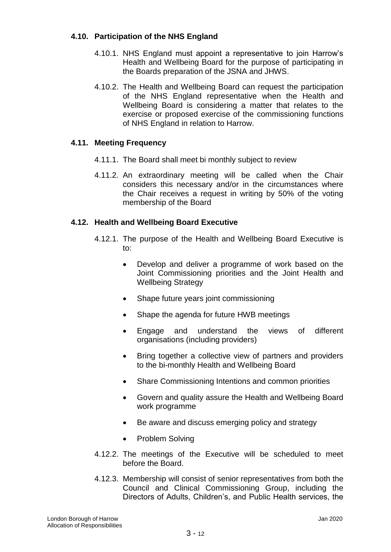# **4.10. Participation of the NHS England**

- 4.10.1. NHS England must appoint a representative to join Harrow's Health and Wellbeing Board for the purpose of participating in the Boards preparation of the JSNA and JHWS.
- 4.10.2. The Health and Wellbeing Board can request the participation of the NHS England representative when the Health and Wellbeing Board is considering a matter that relates to the exercise or proposed exercise of the commissioning functions of NHS England in relation to Harrow.

# **4.11. Meeting Frequency**

- 4.11.1. The Board shall meet bi monthly subject to review
- 4.11.2. An extraordinary meeting will be called when the Chair considers this necessary and/or in the circumstances where the Chair receives a request in writing by 50% of the voting membership of the Board

# **4.12. Health and Wellbeing Board Executive**

- 4.12.1. The purpose of the Health and Wellbeing Board Executive is to:
	- Develop and deliver a programme of work based on the Joint Commissioning priorities and the Joint Health and Wellbeing Strategy
	- Shape future years joint commissioning
	- Shape the agenda for future HWB meetings
	- Engage and understand the views of different organisations (including providers)
	- Bring together a collective view of partners and providers to the bi-monthly Health and Wellbeing Board
	- Share Commissioning Intentions and common priorities
	- Govern and quality assure the Health and Wellbeing Board work programme
	- Be aware and discuss emerging policy and strategy
	- Problem Solving
- 4.12.2. The meetings of the Executive will be scheduled to meet before the Board.
- 4.12.3. Membership will consist of senior representatives from both the Council and Clinical Commissioning Group, including the Directors of Adults, Children's, and Public Health services, the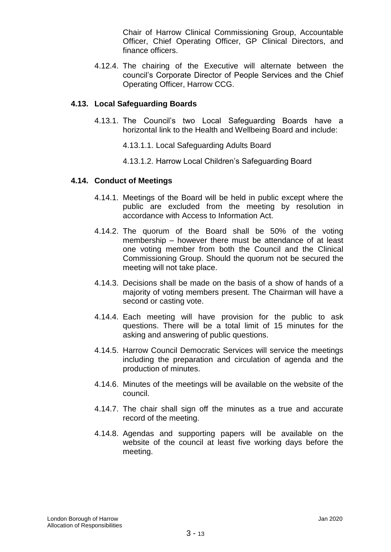Chair of Harrow Clinical Commissioning Group, Accountable Officer, Chief Operating Officer, GP Clinical Directors, and finance officers.

4.12.4. The chairing of the Executive will alternate between the council's Corporate Director of People Services and the Chief Operating Officer, Harrow CCG.

#### **4.13. Local Safeguarding Boards**

- 4.13.1. The Council's two Local Safeguarding Boards have a horizontal link to the Health and Wellbeing Board and include:
	- 4.13.1.1. Local Safeguarding Adults Board
	- 4.13.1.2. Harrow Local Children's Safeguarding Board

#### **4.14. Conduct of Meetings**

- 4.14.1. Meetings of the Board will be held in public except where the public are excluded from the meeting by resolution in accordance with Access to Information Act.
- 4.14.2. The quorum of the Board shall be 50% of the voting membership – however there must be attendance of at least one voting member from both the Council and the Clinical Commissioning Group. Should the quorum not be secured the meeting will not take place.
- 4.14.3. Decisions shall be made on the basis of a show of hands of a majority of voting members present. The Chairman will have a second or casting vote.
- 4.14.4. Each meeting will have provision for the public to ask questions. There will be a total limit of 15 minutes for the asking and answering of public questions.
- 4.14.5. Harrow Council Democratic Services will service the meetings including the preparation and circulation of agenda and the production of minutes.
- 4.14.6. Minutes of the meetings will be available on the website of the council.
- 4.14.7. The chair shall sign off the minutes as a true and accurate record of the meeting.
- 4.14.8. Agendas and supporting papers will be available on the website of the council at least five working days before the meeting.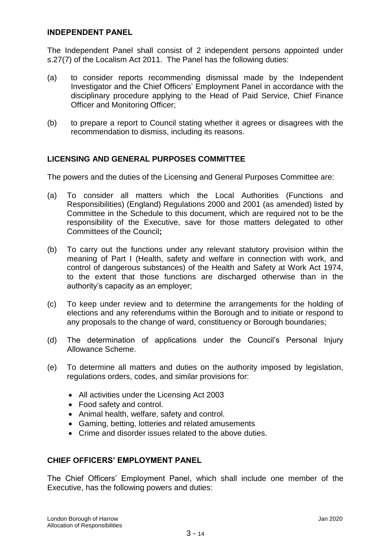#### **INDEPENDENT PANEL**

The Independent Panel shall consist of 2 independent persons appointed under s.27(7) of the Localism Act 2011. The Panel has the following duties:

- (a) to consider reports recommending dismissal made by the Independent Investigator and the Chief Officers' Employment Panel in accordance with the disciplinary procedure applying to the Head of Paid Service, Chief Finance Officer and Monitoring Officer;
- (b) to prepare a report to Council stating whether it agrees or disagrees with the recommendation to dismiss, including its reasons.

# **LICENSING AND GENERAL PURPOSES COMMITTEE**

The powers and the duties of the Licensing and General Purposes Committee are:

- (a) To consider all matters which the Local Authorities (Functions and Responsibilities) (England) Regulations 2000 and 2001 (as amended) listed by Committee in the Schedule to this document, which are required not to be the responsibility of the Executive, save for those matters delegated to other Committees of the Council**;**
- (b) To carry out the functions under any relevant statutory provision within the meaning of Part I (Health, safety and welfare in connection with work, and control of dangerous substances) of the Health and Safety at Work Act 1974, to the extent that those functions are discharged otherwise than in the authority's capacity as an employer;
- (c) To keep under review and to determine the arrangements for the holding of elections and any referendums within the Borough and to initiate or respond to any proposals to the change of ward, constituency or Borough boundaries;
- (d) The determination of applications under the Council's Personal Injury Allowance Scheme.
- (e) To determine all matters and duties on the authority imposed by legislation, regulations orders, codes, and similar provisions for:
	- All activities under the Licensing Act 2003
	- Food safety and control.
	- Animal health, welfare, safety and control.
	- Gaming, betting, lotteries and related amusements
	- Crime and disorder issues related to the above duties.

# **CHIEF OFFICERS' EMPLOYMENT PANEL**

The Chief Officers' Employment Panel, which shall include one member of the Executive, has the following powers and duties: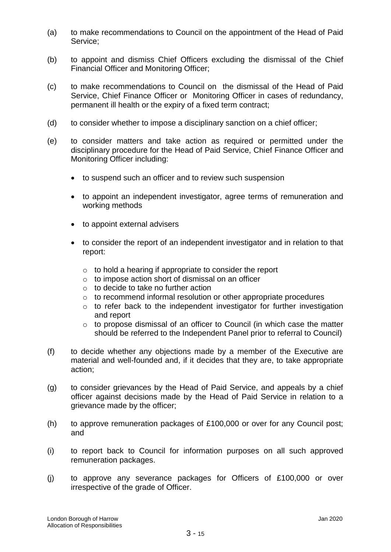- (a) to make recommendations to Council on the appointment of the Head of Paid Service;
- (b) to appoint and dismiss Chief Officers excluding the dismissal of the Chief Financial Officer and Monitoring Officer;
- (c) to make recommendations to Council on the dismissal of the Head of Paid Service, Chief Finance Officer or Monitoring Officer in cases of redundancy, permanent ill health or the expiry of a fixed term contract;
- (d) to consider whether to impose a disciplinary sanction on a chief officer;
- (e) to consider matters and take action as required or permitted under the disciplinary procedure for the Head of Paid Service, Chief Finance Officer and Monitoring Officer including:
	- to suspend such an officer and to review such suspension
	- to appoint an independent investigator, agree terms of remuneration and working methods
	- to appoint external advisers
	- to consider the report of an independent investigator and in relation to that report:
		- $\circ$  to hold a hearing if appropriate to consider the report
		- o to impose action short of dismissal on an officer
		- o to decide to take no further action
		- o to recommend informal resolution or other appropriate procedures
		- o to refer back to the independent investigator for further investigation and report
		- o to propose dismissal of an officer to Council (in which case the matter should be referred to the Independent Panel prior to referral to Council)
- (f) to decide whether any objections made by a member of the Executive are material and well-founded and, if it decides that they are, to take appropriate action;
- (g) to consider grievances by the Head of Paid Service, and appeals by a chief officer against decisions made by the Head of Paid Service in relation to a grievance made by the officer;
- (h) to approve remuneration packages of £100,000 or over for any Council post; and
- (i) to report back to Council for information purposes on all such approved remuneration packages.
- (j) to approve any severance packages for Officers of £100,000 or over irrespective of the grade of Officer.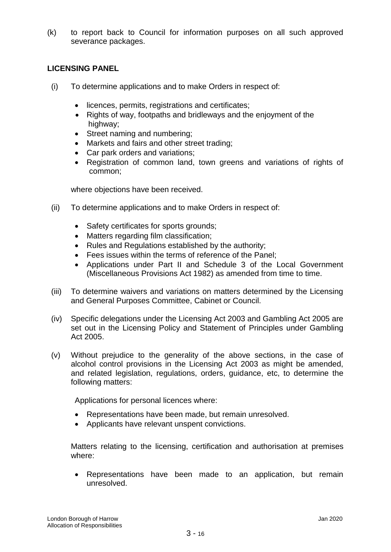(k) to report back to Council for information purposes on all such approved severance packages.

# **LICENSING PANEL**

- (i) To determine applications and to make Orders in respect of:
	- licences, permits, registrations and certificates;
	- Rights of way, footpaths and bridleways and the enjoyment of the highway;
	- Street naming and numbering;
	- Markets and fairs and other street trading;
	- Car park orders and variations;
	- Registration of common land, town greens and variations of rights of common;

where objections have been received.

- (ii) To determine applications and to make Orders in respect of:
	- Safety certificates for sports grounds;
	- Matters regarding film classification;
	- Rules and Regulations established by the authority;
	- Fees issues within the terms of reference of the Panel;
	- Applications under Part II and Schedule 3 of the Local Government (Miscellaneous Provisions Act 1982) as amended from time to time.
- (iii) To determine waivers and variations on matters determined by the Licensing and General Purposes Committee, Cabinet or Council.
- (iv) Specific delegations under the Licensing Act 2003 and Gambling Act 2005 are set out in the Licensing Policy and Statement of Principles under Gambling Act 2005.
- (v) Without prejudice to the generality of the above sections, in the case of alcohol control provisions in the Licensing Act 2003 as might be amended, and related legislation, regulations, orders, guidance, etc, to determine the following matters:

Applications for personal licences where:

- Representations have been made, but remain unresolved.
- Applicants have relevant unspent convictions.

Matters relating to the licensing, certification and authorisation at premises where:

 Representations have been made to an application, but remain unresolved.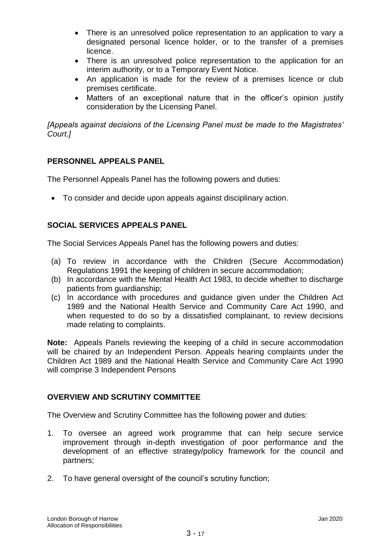- There is an unresolved police representation to an application to vary a designated personal licence holder, or to the transfer of a premises licence.
- There is an unresolved police representation to the application for an interim authority, or to a Temporary Event Notice.
- An application is made for the review of a premises licence or club premises certificate.
- Matters of an exceptional nature that in the officer's opinion justify consideration by the Licensing Panel.

*[Appeals against decisions of the Licensing Panel must be made to the Magistrates' Court.]*

# **PERSONNEL APPEALS PANEL**

The Personnel Appeals Panel has the following powers and duties:

To consider and decide upon appeals against disciplinary action.

# **SOCIAL SERVICES APPEALS PANEL**

The Social Services Appeals Panel has the following powers and duties:

- (a) To review in accordance with the Children (Secure Accommodation) Regulations 1991 the keeping of children in secure accommodation;
- (b) In accordance with the Mental Health Act 1983, to decide whether to discharge patients from guardianship;
- (c) In accordance with procedures and guidance given under the Children Act 1989 and the National Health Service and Community Care Act 1990, and when requested to do so by a dissatisfied complainant, to review decisions made relating to complaints.

**Note:** Appeals Panels reviewing the keeping of a child in secure accommodation will be chaired by an Independent Person. Appeals hearing complaints under the Children Act 1989 and the National Health Service and Community Care Act 1990 will comprise 3 Independent Persons

# **OVERVIEW AND SCRUTINY COMMITTEE**

The Overview and Scrutiny Committee has the following power and duties:

- 1. To oversee an agreed work programme that can help secure service improvement through in-depth investigation of poor performance and the development of an effective strategy/policy framework for the council and partners;
- 2. To have general oversight of the council's scrutiny function;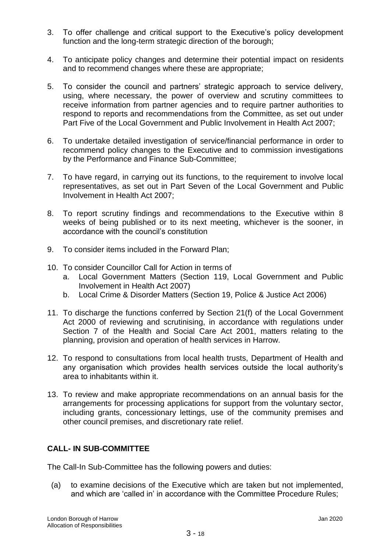- 3. To offer challenge and critical support to the Executive's policy development function and the long-term strategic direction of the borough;
- 4. To anticipate policy changes and determine their potential impact on residents and to recommend changes where these are appropriate;
- 5. To consider the council and partners' strategic approach to service delivery, using, where necessary, the power of overview and scrutiny committees to receive information from partner agencies and to require partner authorities to respond to reports and recommendations from the Committee, as set out under Part Five of the Local Government and Public Involvement in Health Act 2007;
- 6. To undertake detailed investigation of service/financial performance in order to recommend policy changes to the Executive and to commission investigations by the Performance and Finance Sub-Committee;
- 7. To have regard, in carrying out its functions, to the requirement to involve local representatives, as set out in Part Seven of the Local Government and Public Involvement in Health Act 2007;
- 8. To report scrutiny findings and recommendations to the Executive within 8 weeks of being published or to its next meeting, whichever is the sooner, in accordance with the council's constitution
- 9. To consider items included in the Forward Plan;
- 10. To consider Councillor Call for Action in terms of
	- a. Local Government Matters (Section 119, Local Government and Public Involvement in Health Act 2007)
	- b. Local Crime & Disorder Matters (Section 19, Police & Justice Act 2006)
- 11. To discharge the functions conferred by Section 21(f) of the Local Government Act 2000 of reviewing and scrutinising, in accordance with regulations under Section 7 of the Health and Social Care Act 2001, matters relating to the planning, provision and operation of health services in Harrow.
- 12. To respond to consultations from local health trusts, Department of Health and any organisation which provides health services outside the local authority's area to inhabitants within it.
- 13. To review and make appropriate recommendations on an annual basis for the arrangements for processing applications for support from the voluntary sector, including grants, concessionary lettings, use of the community premises and other council premises, and discretionary rate relief.

# **CALL- IN SUB-COMMITTEE**

The Call-In Sub-Committee has the following powers and duties:

(a) to examine decisions of the Executive which are taken but not implemented, and which are 'called in' in accordance with the Committee Procedure Rules;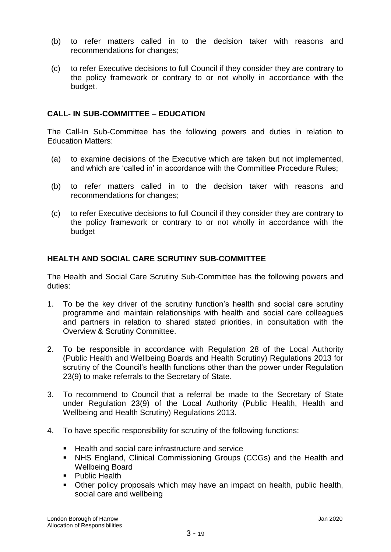- (b) to refer matters called in to the decision taker with reasons and recommendations for changes;
- (c) to refer Executive decisions to full Council if they consider they are contrary to the policy framework or contrary to or not wholly in accordance with the budget.

# **CALL- IN SUB-COMMITTEE – EDUCATION**

The Call-In Sub-Committee has the following powers and duties in relation to Education Matters:

- (a) to examine decisions of the Executive which are taken but not implemented, and which are 'called in' in accordance with the Committee Procedure Rules;
- (b) to refer matters called in to the decision taker with reasons and recommendations for changes;
- (c) to refer Executive decisions to full Council if they consider they are contrary to the policy framework or contrary to or not wholly in accordance with the budget

# **HEALTH AND SOCIAL CARE SCRUTINY SUB-COMMITTEE**

The Health and Social Care Scrutiny Sub-Committee has the following powers and duties:

- 1. To be the key driver of the scrutiny function's health and social care scrutiny programme and maintain relationships with health and social care colleagues and partners in relation to shared stated priorities, in consultation with the Overview & Scrutiny Committee.
- 2. To be responsible in accordance with Regulation 28 of the Local Authority (Public Health and Wellbeing Boards and Health Scrutiny) Regulations 2013 for scrutiny of the Council's health functions other than the power under Regulation 23(9) to make referrals to the Secretary of State.
- 3. To recommend to Council that a referral be made to the Secretary of State under Regulation 23(9) of the Local Authority (Public Health, Health and Wellbeing and Health Scrutiny) Regulations 2013.
- 4. To have specific responsibility for scrutiny of the following functions:
	- Health and social care infrastructure and service
	- NHS England, Clinical Commissioning Groups (CCGs) and the Health and Wellbeing Board
	- Public Health
	- Other policy proposals which may have an impact on health, public health, social care and wellbeing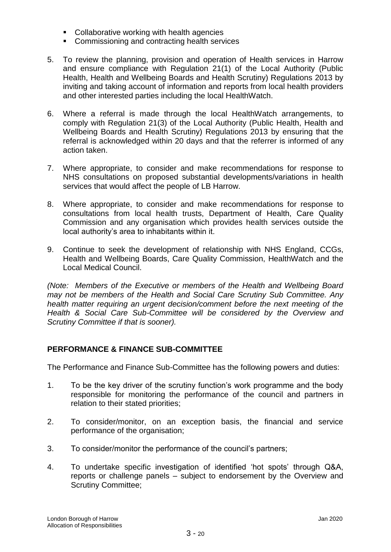- **Collaborative working with health agencies**
- **EXECOMMISSIONING AND CONTRACTING HEALTH SERVICES**
- 5. To review the planning, provision and operation of Health services in Harrow and ensure compliance with Regulation 21(1) of the Local Authority (Public Health, Health and Wellbeing Boards and Health Scrutiny) Regulations 2013 by inviting and taking account of information and reports from local health providers and other interested parties including the local HealthWatch.
- 6. Where a referral is made through the local HealthWatch arrangements, to comply with Regulation 21(3) of the Local Authority (Public Health, Health and Wellbeing Boards and Health Scrutiny) Regulations 2013 by ensuring that the referral is acknowledged within 20 days and that the referrer is informed of any action taken.
- 7. Where appropriate, to consider and make recommendations for response to NHS consultations on proposed substantial developments/variations in health services that would affect the people of LB Harrow.
- 8. Where appropriate, to consider and make recommendations for response to consultations from local health trusts, Department of Health, Care Quality Commission and any organisation which provides health services outside the local authority's area to inhabitants within it.
- 9. Continue to seek the development of relationship with NHS England, CCGs, Health and Wellbeing Boards, Care Quality Commission, HealthWatch and the Local Medical Council.

*(Note: Members of the Executive or members of the Health and Wellbeing Board may not be members of the Health and Social Care Scrutiny Sub Committee. Any health matter requiring an urgent decision/comment before the next meeting of the Health & Social Care Sub-Committee will be considered by the Overview and Scrutiny Committee if that is sooner).*

# **PERFORMANCE & FINANCE SUB-COMMITTEE**

The Performance and Finance Sub-Committee has the following powers and duties:

- 1. To be the key driver of the scrutiny function's work programme and the body responsible for monitoring the performance of the council and partners in relation to their stated priorities;
- 2. To consider/monitor, on an exception basis, the financial and service performance of the organisation;
- 3. To consider/monitor the performance of the council's partners;
- 4. To undertake specific investigation of identified 'hot spots' through Q&A, reports or challenge panels – subject to endorsement by the Overview and Scrutiny Committee;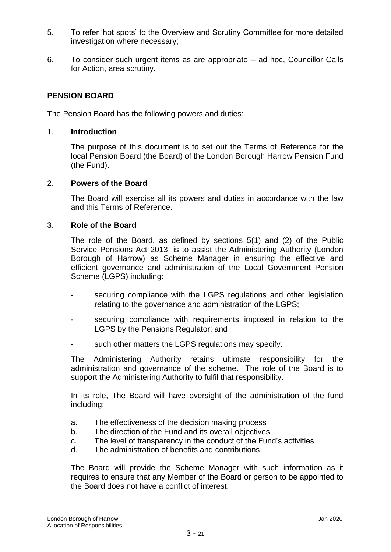- 5. To refer 'hot spots' to the Overview and Scrutiny Committee for more detailed investigation where necessary;
- 6. To consider such urgent items as are appropriate ad hoc, Councillor Calls for Action, area scrutiny.

# **PENSION BOARD**

The Pension Board has the following powers and duties:

#### 1. **Introduction**

The purpose of this document is to set out the Terms of Reference for the local Pension Board (the Board) of the London Borough Harrow Pension Fund (the Fund).

#### 2. **Powers of the Board**

The Board will exercise all its powers and duties in accordance with the law and this Terms of Reference.

#### 3. **Role of the Board**

The role of the Board, as defined by sections 5(1) and (2) of the Public Service Pensions Act 2013, is to assist the Administering Authority (London Borough of Harrow) as Scheme Manager in ensuring the effective and efficient governance and administration of the Local Government Pension Scheme (LGPS) including:

- securing compliance with the LGPS regulations and other legislation relating to the governance and administration of the LGPS;
- securing compliance with requirements imposed in relation to the LGPS by the Pensions Regulator; and
- such other matters the LGPS regulations may specify.

The Administering Authority retains ultimate responsibility for the administration and governance of the scheme. The role of the Board is to support the Administering Authority to fulfil that responsibility.

In its role, The Board will have oversight of the administration of the fund including:

- a. The effectiveness of the decision making process
- b. The direction of the Fund and its overall objectives
- c. The level of transparency in the conduct of the Fund's activities
- d. The administration of benefits and contributions

The Board will provide the Scheme Manager with such information as it requires to ensure that any Member of the Board or person to be appointed to the Board does not have a conflict of interest.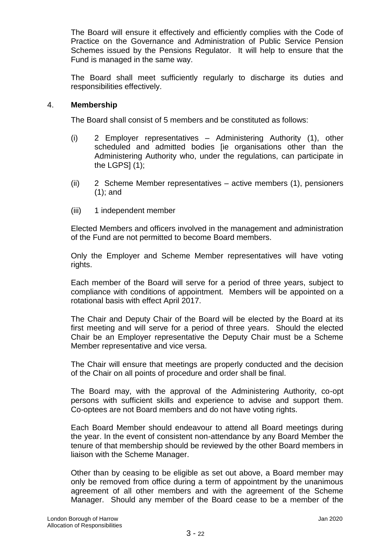The Board will ensure it effectively and efficiently complies with the Code of Practice on the Governance and Administration of Public Service Pension Schemes issued by the Pensions Regulator. It will help to ensure that the Fund is managed in the same way.

The Board shall meet sufficiently regularly to discharge its duties and responsibilities effectively.

#### 4. **Membership**

The Board shall consist of 5 members and be constituted as follows:

- (i) 2 Employer representatives Administering Authority (1), other scheduled and admitted bodies [ie organisations other than the Administering Authority who, under the regulations, can participate in the LGPS $(1)$ ;
- (ii) 2 Scheme Member representatives active members (1), pensioners (1); and
- (iii) 1 independent member

Elected Members and officers involved in the management and administration of the Fund are not permitted to become Board members.

Only the Employer and Scheme Member representatives will have voting rights.

Each member of the Board will serve for a period of three years, subject to compliance with conditions of appointment. Members will be appointed on a rotational basis with effect April 2017.

The Chair and Deputy Chair of the Board will be elected by the Board at its first meeting and will serve for a period of three years. Should the elected Chair be an Employer representative the Deputy Chair must be a Scheme Member representative and vice versa.

The Chair will ensure that meetings are properly conducted and the decision of the Chair on all points of procedure and order shall be final.

The Board may, with the approval of the Administering Authority, co-opt persons with sufficient skills and experience to advise and support them. Co-optees are not Board members and do not have voting rights.

Each Board Member should endeavour to attend all Board meetings during the year. In the event of consistent non-attendance by any Board Member the tenure of that membership should be reviewed by the other Board members in liaison with the Scheme Manager.

Other than by ceasing to be eligible as set out above, a Board member may only be removed from office during a term of appointment by the unanimous agreement of all other members and with the agreement of the Scheme Manager. Should any member of the Board cease to be a member of the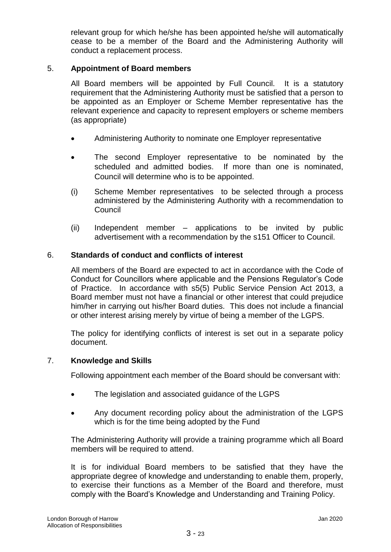relevant group for which he/she has been appointed he/she will automatically cease to be a member of the Board and the Administering Authority will conduct a replacement process.

# 5. **Appointment of Board members**

All Board members will be appointed by Full Council. It is a statutory requirement that the Administering Authority must be satisfied that a person to be appointed as an Employer or Scheme Member representative has the relevant experience and capacity to represent employers or scheme members (as appropriate)

- Administering Authority to nominate one Employer representative
- The second Employer representative to be nominated by the scheduled and admitted bodies. If more than one is nominated, Council will determine who is to be appointed.
- (i) Scheme Member representatives to be selected through a process administered by the Administering Authority with a recommendation to Council
- (ii) Independent member applications to be invited by public advertisement with a recommendation by the s151 Officer to Council.

# 6. **Standards of conduct and conflicts of interest**

All members of the Board are expected to act in accordance with the Code of Conduct for Councillors where applicable and the Pensions Regulator's Code of Practice. In accordance with s5(5) Public Service Pension Act 2013, a Board member must not have a financial or other interest that could prejudice him/her in carrying out his/her Board duties. This does not include a financial or other interest arising merely by virtue of being a member of the LGPS.

The policy for identifying conflicts of interest is set out in a separate policy document.

# 7. **Knowledge and Skills**

Following appointment each member of the Board should be conversant with:

- The legislation and associated guidance of the LGPS
- Any document recording policy about the administration of the LGPS which is for the time being adopted by the Fund

The Administering Authority will provide a training programme which all Board members will be required to attend.

It is for individual Board members to be satisfied that they have the appropriate degree of knowledge and understanding to enable them, properly, to exercise their functions as a Member of the Board and therefore, must comply with the Board's Knowledge and Understanding and Training Policy.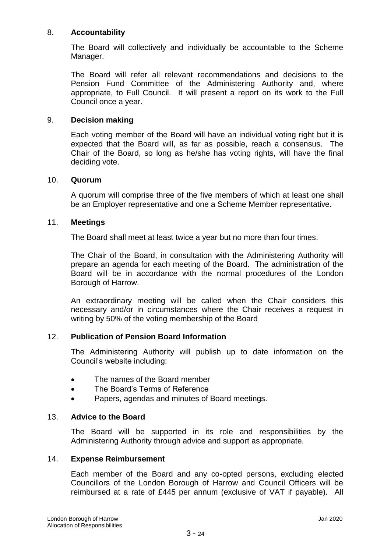# 8. **Accountability**

The Board will collectively and individually be accountable to the Scheme Manager.

The Board will refer all relevant recommendations and decisions to the Pension Fund Committee of the Administering Authority and, where appropriate, to Full Council. It will present a report on its work to the Full Council once a year.

# 9. **Decision making**

Each voting member of the Board will have an individual voting right but it is expected that the Board will, as far as possible, reach a consensus. The Chair of the Board, so long as he/she has voting rights, will have the final deciding vote.

#### 10. **Quorum**

A quorum will comprise three of the five members of which at least one shall be an Employer representative and one a Scheme Member representative.

#### 11. **Meetings**

The Board shall meet at least twice a year but no more than four times.

The Chair of the Board, in consultation with the Administering Authority will prepare an agenda for each meeting of the Board. The administration of the Board will be in accordance with the normal procedures of the London Borough of Harrow.

An extraordinary meeting will be called when the Chair considers this necessary and/or in circumstances where the Chair receives a request in writing by 50% of the voting membership of the Board

# 12. **Publication of Pension Board Information**

The Administering Authority will publish up to date information on the Council's website including:

- The names of the Board member
- The Board's Terms of Reference
- Papers, agendas and minutes of Board meetings.

# 13. **Advice to the Board**

The Board will be supported in its role and responsibilities by the Administering Authority through advice and support as appropriate.

#### 14. **Expense Reimbursement**

Each member of the Board and any co-opted persons, excluding elected Councillors of the London Borough of Harrow and Council Officers will be reimbursed at a rate of £445 per annum (exclusive of VAT if payable). All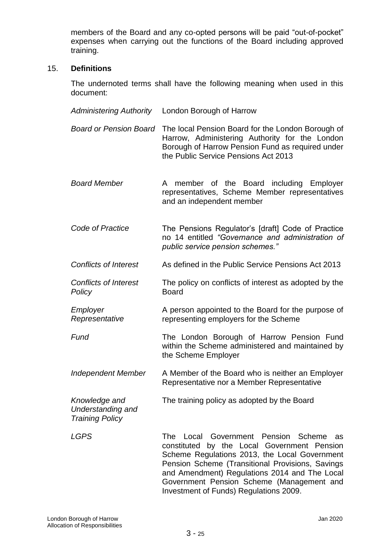members of the Board and any co-opted persons will be paid "out-of-pocket" expenses when carrying out the functions of the Board including approved training.

#### 15. **Definitions**

The undernoted terms shall have the following meaning when used in this document:

*Administering Authority* London Borough of Harrow *Board or Pension Board* The local Pension Board for the London Borough of Harrow, Administering Authority for the London Borough of Harrow Pension Fund as required under the Public Service Pensions Act 2013 *Board Member* A member of the Board including Employer representatives, Scheme Member representatives and an independent member *Code of Practice* The Pensions Regulator's [draft] Code of Practice no 14 entitled *"Governance and administration of public service pension schemes." Conflicts of Interest* As defined in the Public Service Pensions Act 2013 *Conflicts of Interest Policy* The policy on conflicts of interest as adopted by the Board *Employer Representative* A person appointed to the Board for the purpose of representing employers for the Scheme **Fund The London Borough of Harrow Pension Fund** within the Scheme administered and maintained by the Scheme Employer *Independent Member* A Member of the Board who is neither an Employer Representative nor a Member Representative *Knowledge and Understanding and Training Policy* The training policy as adopted by the Board *LGPS* The Local Government Pension Scheme as constituted by the Local Government Pension Scheme Regulations 2013, the Local Government Pension Scheme (Transitional Provisions, Savings and Amendment) Regulations 2014 and The Local Government Pension Scheme (Management and Investment of Funds) Regulations 2009.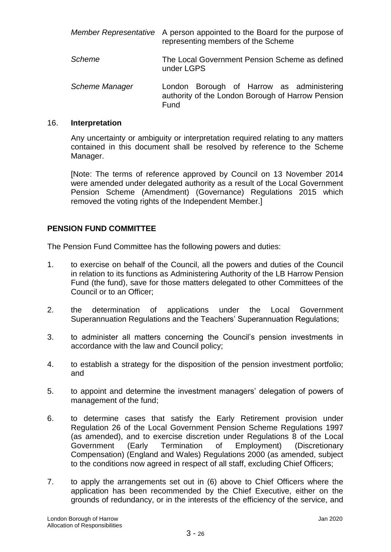|                | Member Representative A person appointed to the Board for the purpose of<br>representing members of the Scheme |
|----------------|----------------------------------------------------------------------------------------------------------------|
| Scheme         | The Local Government Pension Scheme as defined<br>under LGPS                                                   |
| Scheme Manager | London Borough of Harrow as administering<br>authority of the London Borough of Harrow Pension<br>Fund         |

#### 16. **Interpretation**

Any uncertainty or ambiguity or interpretation required relating to any matters contained in this document shall be resolved by reference to the Scheme Manager.

[Note: The terms of reference approved by Council on 13 November 2014 were amended under delegated authority as a result of the Local Government Pension Scheme (Amendment) (Governance) Regulations 2015 which removed the voting rights of the Independent Member.]

# **PENSION FUND COMMITTEE**

The Pension Fund Committee has the following powers and duties:

- 1. to exercise on behalf of the Council, all the powers and duties of the Council in relation to its functions as Administering Authority of the LB Harrow Pension Fund (the fund), save for those matters delegated to other Committees of the Council or to an Officer;
- 2. the determination of applications under the Local Government Superannuation Regulations and the Teachers' Superannuation Regulations;
- 3. to administer all matters concerning the Council's pension investments in accordance with the law and Council policy;
- 4. to establish a strategy for the disposition of the pension investment portfolio; and
- 5. to appoint and determine the investment managers' delegation of powers of management of the fund;
- 6. to determine cases that satisfy the Early Retirement provision under Regulation 26 of the Local Government Pension Scheme Regulations 1997 (as amended), and to exercise discretion under Regulations 8 of the Local Government (Early Termination of Employment) (Discretionary Compensation) (England and Wales) Regulations 2000 (as amended, subject to the conditions now agreed in respect of all staff, excluding Chief Officers;
- 7. to apply the arrangements set out in (6) above to Chief Officers where the application has been recommended by the Chief Executive, either on the grounds of redundancy, or in the interests of the efficiency of the service, and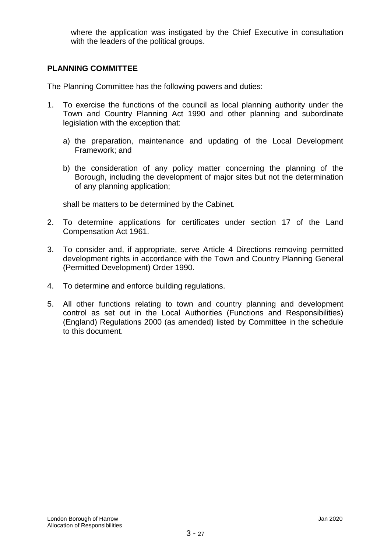where the application was instigated by the Chief Executive in consultation with the leaders of the political groups.

# **PLANNING COMMITTEE**

The Planning Committee has the following powers and duties:

- 1. To exercise the functions of the council as local planning authority under the Town and Country Planning Act 1990 and other planning and subordinate legislation with the exception that:
	- a) the preparation, maintenance and updating of the Local Development Framework; and
	- b) the consideration of any policy matter concerning the planning of the Borough, including the development of major sites but not the determination of any planning application;

shall be matters to be determined by the Cabinet.

- 2. To determine applications for certificates under section 17 of the Land Compensation Act 1961.
- 3. To consider and, if appropriate, serve Article 4 Directions removing permitted development rights in accordance with the Town and Country Planning General (Permitted Development) Order 1990.
- 4. To determine and enforce building regulations.
- 5. All other functions relating to town and country planning and development control as set out in the Local Authorities (Functions and Responsibilities) (England) Regulations 2000 (as amended) listed by Committee in the schedule to this document.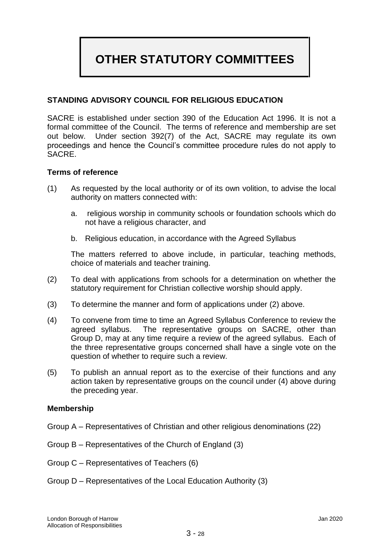# **OTHER STATUTORY COMMITTEES**

# **STANDING ADVISORY COUNCIL FOR RELIGIOUS EDUCATION**

SACRE is established under section 390 of the Education Act 1996. It is not a formal committee of the Council. The terms of reference and membership are set out below. Under section 392(7) of the Act, SACRE may regulate its own proceedings and hence the Council's committee procedure rules do not apply to SACRE.

#### **Terms of reference**

- (1) As requested by the local authority or of its own volition, to advise the local authority on matters connected with:
	- a. religious worship in community schools or foundation schools which do not have a religious character, and
	- b. Religious education, in accordance with the Agreed Syllabus

The matters referred to above include, in particular, teaching methods, choice of materials and teacher training.

- (2) To deal with applications from schools for a determination on whether the statutory requirement for Christian collective worship should apply.
- (3) To determine the manner and form of applications under (2) above.
- (4) To convene from time to time an Agreed Syllabus Conference to review the agreed syllabus. The representative groups on SACRE, other than Group D, may at any time require a review of the agreed syllabus. Each of the three representative groups concerned shall have a single vote on the question of whether to require such a review.
- (5) To publish an annual report as to the exercise of their functions and any action taken by representative groups on the council under (4) above during the preceding year.

#### **Membership**

- Group A Representatives of Christian and other religious denominations (22)
- Group B Representatives of the Church of England (3)
- Group C Representatives of Teachers (6)
- Group D Representatives of the Local Education Authority (3)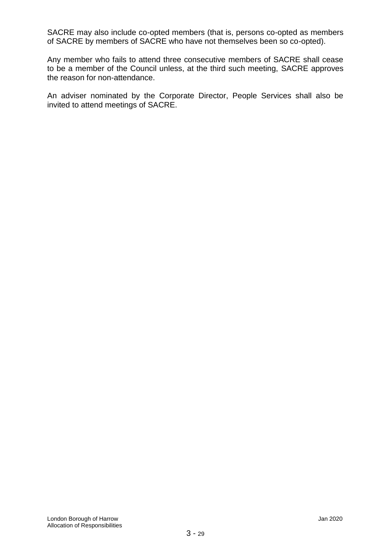SACRE may also include co-opted members (that is, persons co-opted as members of SACRE by members of SACRE who have not themselves been so co-opted).

Any member who fails to attend three consecutive members of SACRE shall cease to be a member of the Council unless, at the third such meeting, SACRE approves the reason for non-attendance.

An adviser nominated by the Corporate Director, People Services shall also be invited to attend meetings of SACRE.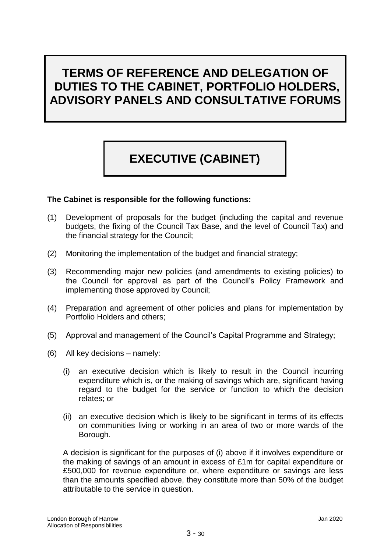# **TERMS OF REFERENCE AND DELEGATION OF DUTIES TO THE CABINET, PORTFOLIO HOLDERS, ADVISORY PANELS AND CONSULTATIVE FORUMS**

# **EXECUTIVE (CABINET)**

# **The Cabinet is responsible for the following functions:**

- (1) Development of proposals for the budget (including the capital and revenue budgets, the fixing of the Council Tax Base*,* and the level of Council Tax) and the financial strategy for the Council;
- (2) Monitoring the implementation of the budget and financial strategy;
- (3) Recommending major new policies (and amendments to existing policies) to the Council for approval as part of the Council's Policy Framework and implementing those approved by Council;
- (4) Preparation and agreement of other policies and plans for implementation by Portfolio Holders and others;
- (5) Approval and management of the Council's Capital Programme and Strategy;
- (6) All key decisions namely:
	- (i) an executive decision which is likely to result in the Council incurring expenditure which is, or the making of savings which are, significant having regard to the budget for the service or function to which the decision relates; or
	- (ii) an executive decision which is likely to be significant in terms of its effects on communities living or working in an area of two or more wards of the Borough.

A decision is significant for the purposes of (i) above if it involves expenditure or the making of savings of an amount in excess of £1m for capital expenditure or £500,000 for revenue expenditure or, where expenditure or savings are less than the amounts specified above, they constitute more than 50% of the budget attributable to the service in question.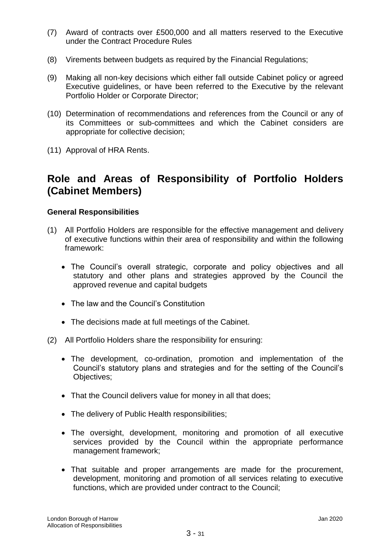- (7) Award of contracts over £500,000 and all matters reserved to the Executive under the Contract Procedure Rules
- (8) Virements between budgets as required by the Financial Regulations;
- (9) Making all non-key decisions which either fall outside Cabinet policy or agreed Executive guidelines, or have been referred to the Executive by the relevant Portfolio Holder or Corporate Director;
- (10) Determination of recommendations and references from the Council or any of its Committees or sub-committees and which the Cabinet considers are appropriate for collective decision;
- (11) Approval of HRA Rents.

# **Role and Areas of Responsibility of Portfolio Holders (Cabinet Members)**

# **General Responsibilities**

- (1) All Portfolio Holders are responsible for the effective management and delivery of executive functions within their area of responsibility and within the following framework:
	- The Council's overall strategic, corporate and policy objectives and all statutory and other plans and strategies approved by the Council the approved revenue and capital budgets
	- The law and the Council's Constitution
	- The decisions made at full meetings of the Cabinet.
- (2) All Portfolio Holders share the responsibility for ensuring:
	- The development, co-ordination, promotion and implementation of the Council's statutory plans and strategies and for the setting of the Council's Objectives;
	- That the Council delivers value for money in all that does;
	- The delivery of Public Health responsibilities;
	- The oversight, development, monitoring and promotion of all executive services provided by the Council within the appropriate performance management framework;
	- That suitable and proper arrangements are made for the procurement, development, monitoring and promotion of all services relating to executive functions, which are provided under contract to the Council;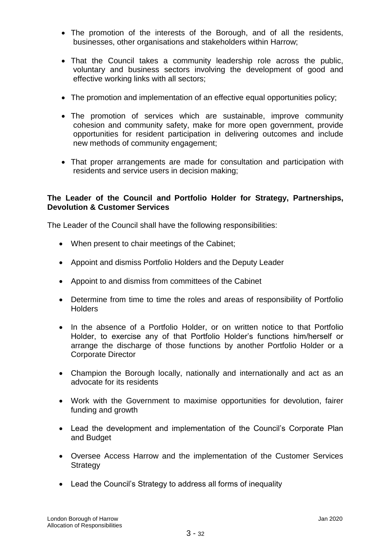- The promotion of the interests of the Borough, and of all the residents, businesses, other organisations and stakeholders within Harrow;
- That the Council takes a community leadership role across the public, voluntary and business sectors involving the development of good and effective working links with all sectors;
- The promotion and implementation of an effective equal opportunities policy;
- The promotion of services which are sustainable, improve community cohesion and community safety, make for more open government, provide opportunities for resident participation in delivering outcomes and include new methods of community engagement;
- That proper arrangements are made for consultation and participation with residents and service users in decision making;

# **The Leader of the Council and Portfolio Holder for Strategy, Partnerships, Devolution & Customer Services**

The Leader of the Council shall have the following responsibilities:

- When present to chair meetings of the Cabinet;
- Appoint and dismiss Portfolio Holders and the Deputy Leader
- Appoint to and dismiss from committees of the Cabinet
- Determine from time to time the roles and areas of responsibility of Portfolio **Holders**
- In the absence of a Portfolio Holder, or on written notice to that Portfolio Holder, to exercise any of that Portfolio Holder's functions him/herself or arrange the discharge of those functions by another Portfolio Holder or a Corporate Director
- Champion the Borough locally, nationally and internationally and act as an advocate for its residents
- Work with the Government to maximise opportunities for devolution, fairer funding and growth
- Lead the development and implementation of the Council's Corporate Plan and Budget
- Oversee Access Harrow and the implementation of the Customer Services **Strategy**
- Lead the Council's Strategy to address all forms of inequality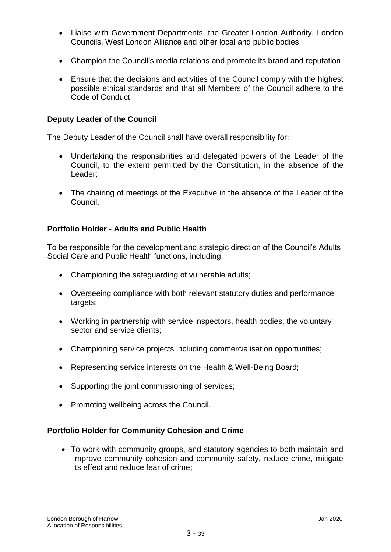- Liaise with Government Departments, the Greater London Authority, London Councils, West London Alliance and other local and public bodies
- Champion the Council's media relations and promote its brand and reputation
- Ensure that the decisions and activities of the Council comply with the highest possible ethical standards and that all Members of the Council adhere to the Code of Conduct.

# **Deputy Leader of the Council**

The Deputy Leader of the Council shall have overall responsibility for:

- Undertaking the responsibilities and delegated powers of the Leader of the Council, to the extent permitted by the Constitution, in the absence of the Leader;
- The chairing of meetings of the Executive in the absence of the Leader of the Council.

# **Portfolio Holder - Adults and Public Health**

To be responsible for the development and strategic direction of the Council's Adults Social Care and Public Health functions, including:

- Championing the safeguarding of vulnerable adults;
- Overseeing compliance with both relevant statutory duties and performance targets;
- Working in partnership with service inspectors, health bodies, the voluntary sector and service clients;
- Championing service projects including commercialisation opportunities;
- Representing service interests on the Health & Well-Being Board;
- Supporting the joint commissioning of services;
- Promoting wellbeing across the Council.

#### **Portfolio Holder for Community Cohesion and Crime**

 To work with community groups, and statutory agencies to both maintain and improve community cohesion and community safety, reduce crime, mitigate its effect and reduce fear of crime;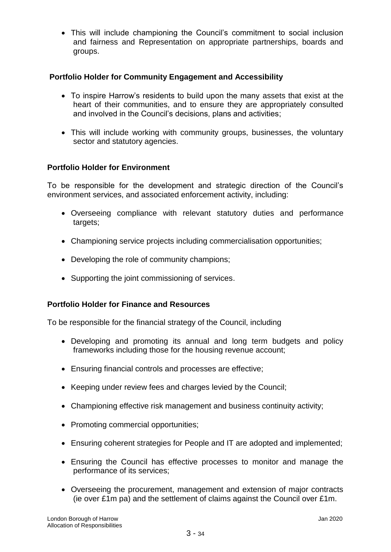This will include championing the Council's commitment to social inclusion and fairness and Representation on appropriate partnerships, boards and groups.

# **Portfolio Holder for Community Engagement and Accessibility**

- To inspire Harrow's residents to build upon the many assets that exist at the heart of their communities, and to ensure they are appropriately consulted and involved in the Council's decisions, plans and activities;
- This will include working with community groups, businesses, the voluntary sector and statutory agencies.

# **Portfolio Holder for Environment**

To be responsible for the development and strategic direction of the Council's environment services, and associated enforcement activity, including:

- Overseeing compliance with relevant statutory duties and performance targets;
- Championing service projects including commercialisation opportunities;
- Developing the role of community champions;
- Supporting the joint commissioning of services.

# **Portfolio Holder for Finance and Resources**

To be responsible for the financial strategy of the Council, including

- Developing and promoting its annual and long term budgets and policy frameworks including those for the housing revenue account;
- Ensuring financial controls and processes are effective;
- Keeping under review fees and charges levied by the Council;
- Championing effective risk management and business continuity activity;
- Promoting commercial opportunities;
- Ensuring coherent strategies for People and IT are adopted and implemented;
- Ensuring the Council has effective processes to monitor and manage the performance of its services;
- Overseeing the procurement, management and extension of major contracts (ie over £1m pa) and the settlement of claims against the Council over £1m.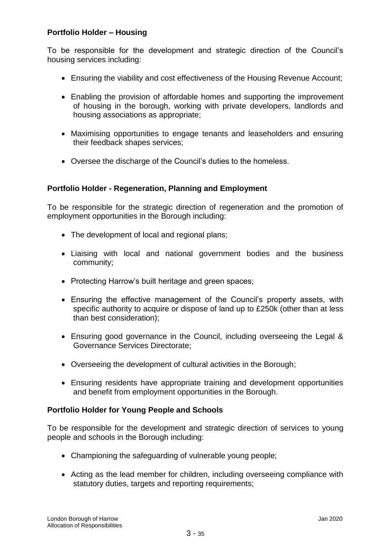# **Portfolio Holder – Housing**

To be responsible for the development and strategic direction of the Council's housing services including:

- Ensuring the viability and cost effectiveness of the Housing Revenue Account;
- Enabling the provision of affordable homes and supporting the improvement of housing in the borough, working with private developers, landlords and housing associations as appropriate;
- Maximising opportunities to engage tenants and leaseholders and ensuring their feedback shapes services;
- Oversee the discharge of the Council's duties to the homeless.

# **Portfolio Holder - Regeneration, Planning and Employment**

To be responsible for the strategic direction of regeneration and the promotion of employment opportunities in the Borough including:

- The development of local and regional plans;
- Liaising with local and national government bodies and the business community;
- Protecting Harrow's built heritage and green spaces;
- Ensuring the effective management of the Council's property assets, with specific authority to acquire or dispose of land up to £250k (other than at less than best consideration);
- Ensuring good governance in the Council, including overseeing the Legal & Governance Services Directorate;
- Overseeing the development of cultural activities in the Borough;
- Ensuring residents have appropriate training and development opportunities and benefit from employment opportunities in the Borough.

# **Portfolio Holder for Young People and Schools**

To be responsible for the development and strategic direction of services to young people and schools in the Borough including:

- Championing the safeguarding of vulnerable young people;
- Acting as the lead member for children, including overseeing compliance with statutory duties, targets and reporting requirements;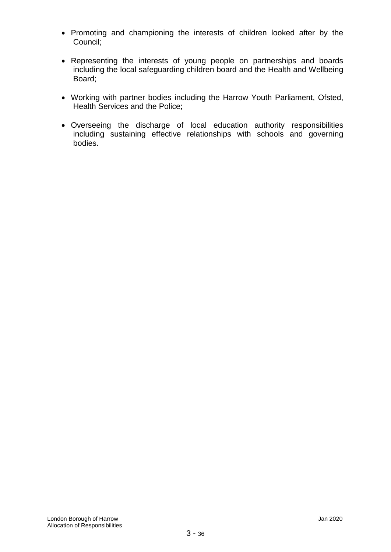- Promoting and championing the interests of children looked after by the Council;
- Representing the interests of young people on partnerships and boards including the local safeguarding children board and the Health and Wellbeing Board;
- Working with partner bodies including the Harrow Youth Parliament, Ofsted, Health Services and the Police;
- Overseeing the discharge of local education authority responsibilities including sustaining effective relationships with schools and governing bodies.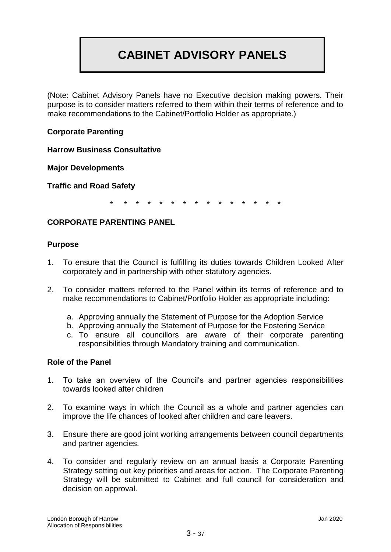# **CABINET ADVISORY PANELS**

(Note: Cabinet Advisory Panels have no Executive decision making powers. Their purpose is to consider matters referred to them within their terms of reference and to make recommendations to the Cabinet/Portfolio Holder as appropriate.)

# **Corporate Parenting**

**Harrow Business Consultative** 

**Major Developments**

**Traffic and Road Safety**

\* \* \* \* \* \* \* \* \* \* \* \* \* \* \*

# **CORPORATE PARENTING PANEL**

#### **Purpose**

- 1. To ensure that the Council is fulfilling its duties towards Children Looked After corporately and in partnership with other statutory agencies.
- 2. To consider matters referred to the Panel within its terms of reference and to make recommendations to Cabinet/Portfolio Holder as appropriate including:
	- a. Approving annually the Statement of Purpose for the Adoption Service
	- b. Approving annually the Statement of Purpose for the Fostering Service
	- c. To ensure all councillors are aware of their corporate parenting responsibilities through Mandatory training and communication.

# **Role of the Panel**

- 1. To take an overview of the Council's and partner agencies responsibilities towards looked after children
- 2. To examine ways in which the Council as a whole and partner agencies can improve the life chances of looked after children and care leavers.
- 3. Ensure there are good joint working arrangements between council departments and partner agencies.
- 4. To consider and regularly review on an annual basis a Corporate Parenting Strategy setting out key priorities and areas for action. The Corporate Parenting Strategy will be submitted to Cabinet and full council for consideration and decision on approval.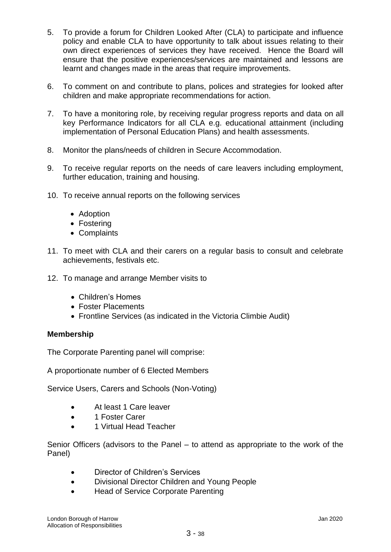- 5. To provide a forum for Children Looked After (CLA) to participate and influence policy and enable CLA to have opportunity to talk about issues relating to their own direct experiences of services they have received. Hence the Board will ensure that the positive experiences/services are maintained and lessons are learnt and changes made in the areas that require improvements.
- 6. To comment on and contribute to plans, polices and strategies for looked after children and make appropriate recommendations for action.
- 7. To have a monitoring role, by receiving regular progress reports and data on all key Performance Indicators for all CLA e.g. educational attainment (including implementation of Personal Education Plans) and health assessments.
- 8. Monitor the plans/needs of children in Secure Accommodation.
- 9. To receive regular reports on the needs of care leavers including employment, further education, training and housing.
- 10. To receive annual reports on the following services
	- Adoption
	- Fostering
	- Complaints
- 11. To meet with CLA and their carers on a regular basis to consult and celebrate achievements, festivals etc.
- 12. To manage and arrange Member visits to
	- Children's Homes
	- Foster Placements
	- Frontline Services (as indicated in the Victoria Climbie Audit)

# **Membership**

The Corporate Parenting panel will comprise:

A proportionate number of 6 Elected Members

Service Users, Carers and Schools (Non-Voting)

- At least 1 Care leaver
- 1 Foster Carer
- 1 Virtual Head Teacher

Senior Officers (advisors to the Panel – to attend as appropriate to the work of the Panel)

- Director of Children's Services
- Divisional Director Children and Young People
- Head of Service Corporate Parenting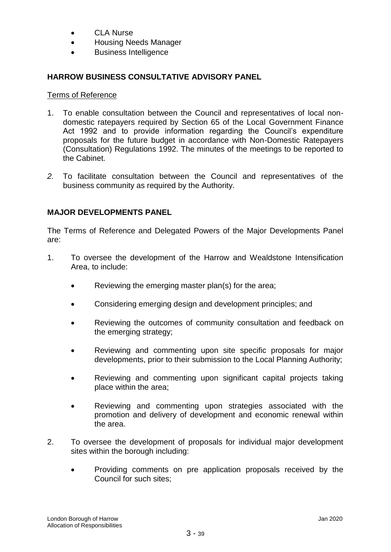- CLA Nurse
- Housing Needs Manager
- Business Intelligence

# **HARROW BUSINESS CONSULTATIVE ADVISORY PANEL**

# Terms of Reference

- 1. To enable consultation between the Council and representatives of local nondomestic ratepayers required by Section 65 of the Local Government Finance Act 1992 and to provide information regarding the Council's expenditure proposals for the future budget in accordance with Non-Domestic Ratepayers (Consultation) Regulations 1992. The minutes of the meetings to be reported to the Cabinet.
- *2.* To facilitate consultation between the Council and representatives of the business community as required by the Authority.

# **MAJOR DEVELOPMENTS PANEL**

The Terms of Reference and Delegated Powers of the Major Developments Panel are:

- 1. To oversee the development of the Harrow and Wealdstone Intensification Area, to include:
	- Reviewing the emerging master plan(s) for the area;
	- Considering emerging design and development principles; and
	- Reviewing the outcomes of community consultation and feedback on the emerging strategy;
	- Reviewing and commenting upon site specific proposals for major developments, prior to their submission to the Local Planning Authority;
	- Reviewing and commenting upon significant capital projects taking place within the area;
	- Reviewing and commenting upon strategies associated with the promotion and delivery of development and economic renewal within the area.
- 2. To oversee the development of proposals for individual major development sites within the borough including:
	- Providing comments on pre application proposals received by the Council for such sites;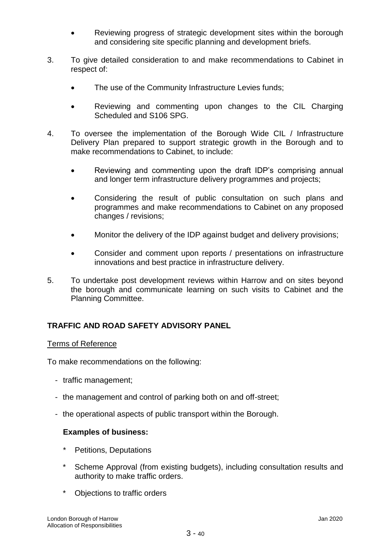- Reviewing progress of strategic development sites within the borough and considering site specific planning and development briefs.
- 3. To give detailed consideration to and make recommendations to Cabinet in respect of:
	- The use of the Community Infrastructure Levies funds;
	- Reviewing and commenting upon changes to the CIL Charging Scheduled and S106 SPG.
- 4. To oversee the implementation of the Borough Wide CIL / Infrastructure Delivery Plan prepared to support strategic growth in the Borough and to make recommendations to Cabinet, to include:
	- Reviewing and commenting upon the draft IDP's comprising annual and longer term infrastructure delivery programmes and projects;
	- Considering the result of public consultation on such plans and programmes and make recommendations to Cabinet on any proposed changes / revisions;
	- Monitor the delivery of the IDP against budget and delivery provisions;
	- Consider and comment upon reports / presentations on infrastructure innovations and best practice in infrastructure delivery.
- 5. To undertake post development reviews within Harrow and on sites beyond the borough and communicate learning on such visits to Cabinet and the Planning Committee.

# **TRAFFIC AND ROAD SAFETY ADVISORY PANEL**

# Terms of Reference

To make recommendations on the following:

- traffic management;
- the management and control of parking both on and off-street;
- the operational aspects of public transport within the Borough.

# **Examples of business:**

- Petitions, Deputations
- Scheme Approval (from existing budgets), including consultation results and authority to make traffic orders.
- \* Objections to traffic orders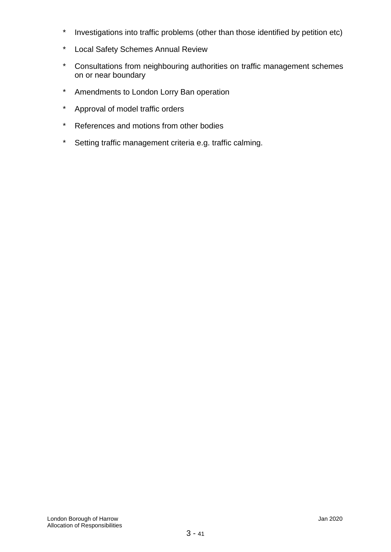- \* Investigations into traffic problems (other than those identified by petition etc)
- \* Local Safety Schemes Annual Review
- \* Consultations from neighbouring authorities on traffic management schemes on or near boundary
- \* Amendments to London Lorry Ban operation
- \* Approval of model traffic orders
- \* References and motions from other bodies
- \* Setting traffic management criteria e.g. traffic calming.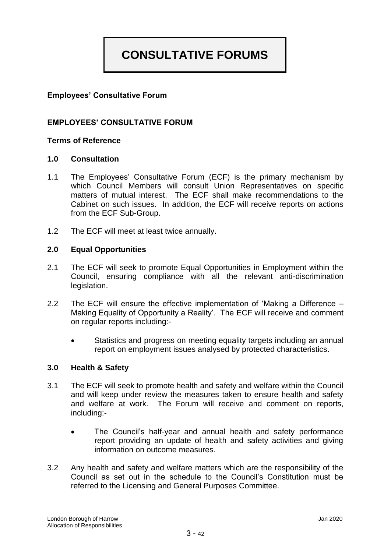# **CONSULTATIVE FORUMS**

# **Employees' Consultative Forum**

# **EMPLOYEES' CONSULTATIVE FORUM**

# **Terms of Reference**

#### **1.0 Consultation**

- 1.1 The Employees' Consultative Forum (ECF) is the primary mechanism by which Council Members will consult Union Representatives on specific matters of mutual interest. The ECF shall make recommendations to the Cabinet on such issues. In addition, the ECF will receive reports on actions from the ECF Sub-Group.
- 1.2 The ECF will meet at least twice annually.

#### **2.0 Equal Opportunities**

- 2.1 The ECF will seek to promote Equal Opportunities in Employment within the Council, ensuring compliance with all the relevant anti-discrimination legislation.
- 2.2 The ECF will ensure the effective implementation of 'Making a Difference Making Equality of Opportunity a Reality'. The ECF will receive and comment on regular reports including:-
	- Statistics and progress on meeting equality targets including an annual report on employment issues analysed by protected characteristics.

#### **3.0 Health & Safety**

- 3.1 The ECF will seek to promote health and safety and welfare within the Council and will keep under review the measures taken to ensure health and safety and welfare at work. The Forum will receive and comment on reports, including:-
	- The Council's half-year and annual health and safety performance report providing an update of health and safety activities and giving information on outcome measures.
- 3.2 Any health and safety and welfare matters which are the responsibility of the Council as set out in the schedule to the Council's Constitution must be referred to the Licensing and General Purposes Committee.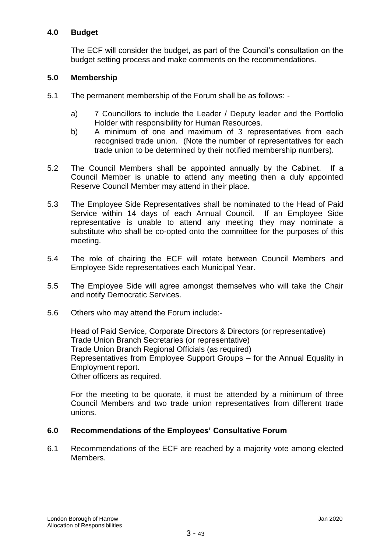# **4.0 Budget**

The ECF will consider the budget, as part of the Council's consultation on the budget setting process and make comments on the recommendations.

# **5.0 Membership**

- 5.1 The permanent membership of the Forum shall be as follows:
	- a) 7 Councillors to include the Leader / Deputy leader and the Portfolio Holder with responsibility for Human Resources.
	- b) A minimum of one and maximum of 3 representatives from each recognised trade union. (Note the number of representatives for each trade union to be determined by their notified membership numbers).
- 5.2 The Council Members shall be appointed annually by the Cabinet. If a Council Member is unable to attend any meeting then a duly appointed Reserve Council Member may attend in their place.
- 5.3 The Employee Side Representatives shall be nominated to the Head of Paid Service within 14 days of each Annual Council. If an Employee Side representative is unable to attend any meeting they may nominate a substitute who shall be co-opted onto the committee for the purposes of this meeting.
- 5.4 The role of chairing the ECF will rotate between Council Members and Employee Side representatives each Municipal Year.
- 5.5 The Employee Side will agree amongst themselves who will take the Chair and notify Democratic Services.
- 5.6 Others who may attend the Forum include:-

Head of Paid Service, Corporate Directors & Directors (or representative) Trade Union Branch Secretaries (or representative) Trade Union Branch Regional Officials (as required) Representatives from Employee Support Groups – for the Annual Equality in Employment report. Other officers as required.

For the meeting to be quorate, it must be attended by a minimum of three Council Members and two trade union representatives from different trade unions.

# **6.0 Recommendations of the Employees' Consultative Forum**

6.1 Recommendations of the ECF are reached by a majority vote among elected Members.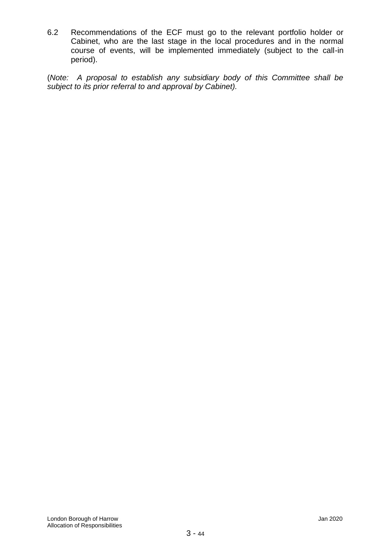6.2 Recommendations of the ECF must go to the relevant portfolio holder or Cabinet, who are the last stage in the local procedures and in the normal course of events, will be implemented immediately (subject to the call-in period).

(*Note: A proposal to establish any subsidiary body of this Committee shall be subject to its prior referral to and approval by Cabinet).*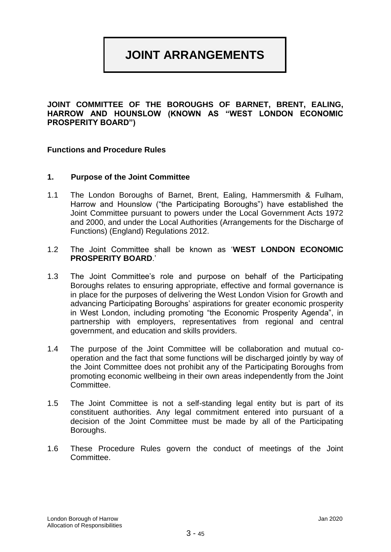# **JOINT ARRANGEMENTS**

**JOINT COMMITTEE OF THE BOROUGHS OF BARNET, BRENT, EALING, HARROW AND HOUNSLOW (KNOWN AS "WEST LONDON ECONOMIC PROSPERITY BOARD")**

#### **Functions and Procedure Rules**

#### **1. Purpose of the Joint Committee**

- 1.1 The London Boroughs of Barnet, Brent, Ealing, Hammersmith & Fulham, Harrow and Hounslow ("the Participating Boroughs") have established the Joint Committee pursuant to powers under the Local Government Acts 1972 and 2000, and under the Local Authorities (Arrangements for the Discharge of Functions) (England) Regulations 2012.
- 1.2 The Joint Committee shall be known as '**WEST LONDON ECONOMIC PROSPERITY BOARD**.'
- 1.3 The Joint Committee's role and purpose on behalf of the Participating Boroughs relates to ensuring appropriate, effective and formal governance is in place for the purposes of delivering the West London Vision for Growth and advancing Participating Boroughs' aspirations for greater economic prosperity in West London, including promoting "the Economic Prosperity Agenda", in partnership with employers, representatives from regional and central government, and education and skills providers.
- 1.4 The purpose of the Joint Committee will be collaboration and mutual cooperation and the fact that some functions will be discharged jointly by way of the Joint Committee does not prohibit any of the Participating Boroughs from promoting economic wellbeing in their own areas independently from the Joint Committee.
- 1.5 The Joint Committee is not a self-standing legal entity but is part of its constituent authorities. Any legal commitment entered into pursuant of a decision of the Joint Committee must be made by all of the Participating Boroughs.
- 1.6 These Procedure Rules govern the conduct of meetings of the Joint Committee.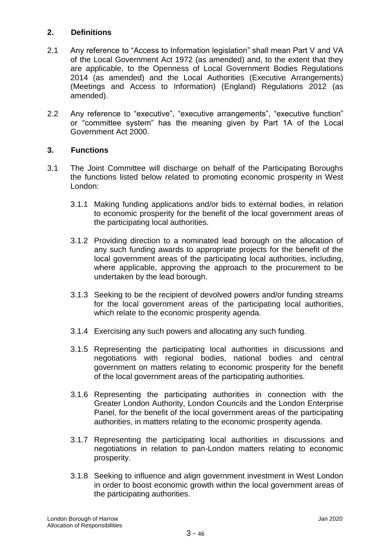# **2. Definitions**

- 2.1 Any reference to "Access to Information legislation" shall mean Part V and VA of the Local Government Act 1972 (as amended) and, to the extent that they are applicable, to the Openness of Local Government Bodies Regulations 2014 (as amended) and the Local Authorities (Executive Arrangements) (Meetings and Access to Information) (England) Regulations 2012 (as amended).
- 2.2 Any reference to "executive", "executive arrangements", "executive function" or "committee system" has the meaning given by Part 1A of the Local Government Act 2000.

# **3. Functions**

- 3.1 The Joint Committee will discharge on behalf of the Participating Boroughs the functions listed below related to promoting economic prosperity in West London:
	- 3.1.1 Making funding applications and/or bids to external bodies, in relation to economic prosperity for the benefit of the local government areas of the participating local authorities.
	- 3.1.2 Providing direction to a nominated lead borough on the allocation of any such funding awards to appropriate projects for the benefit of the local government areas of the participating local authorities, including, where applicable, approving the approach to the procurement to be undertaken by the lead borough.
	- 3.1.3 Seeking to be the recipient of devolved powers and/or funding streams for the local government areas of the participating local authorities, which relate to the economic prosperity agenda.
	- 3.1.4 Exercising any such powers and allocating any such funding.
	- 3.1.5 Representing the participating local authorities in discussions and negotiations with regional bodies, national bodies and central government on matters relating to economic prosperity for the benefit of the local government areas of the participating authorities.
	- 3.1.6 Representing the participating authorities in connection with the Greater London Authority, London Councils and the London Enterprise Panel, for the benefit of the local government areas of the participating authorities, in matters relating to the economic prosperity agenda.
	- 3.1.7 Representing the participating local authorities in discussions and negotiations in relation to pan-London matters relating to economic prosperity.
	- 3.1.8 Seeking to influence and align government investment in West London in order to boost economic growth within the local government areas of the participating authorities.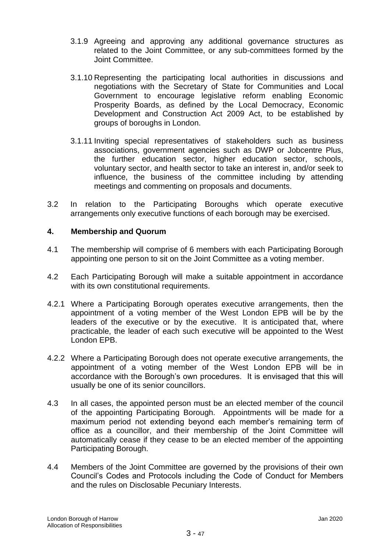- 3.1.9 Agreeing and approving any additional governance structures as related to the Joint Committee, or any sub-committees formed by the Joint Committee.
- 3.1.10 Representing the participating local authorities in discussions and negotiations with the Secretary of State for Communities and Local Government to encourage legislative reform enabling Economic Prosperity Boards, as defined by the Local Democracy, Economic Development and Construction Act 2009 Act, to be established by groups of boroughs in London.
- 3.1.11 Inviting special representatives of stakeholders such as business associations, government agencies such as DWP or Jobcentre Plus, the further education sector, higher education sector, schools, voluntary sector, and health sector to take an interest in, and/or seek to influence, the business of the committee including by attending meetings and commenting on proposals and documents.
- 3.2 In relation to the Participating Boroughs which operate executive arrangements only executive functions of each borough may be exercised.

# **4. Membership and Quorum**

- 4.1 The membership will comprise of 6 members with each Participating Borough appointing one person to sit on the Joint Committee as a voting member.
- 4.2 Each Participating Borough will make a suitable appointment in accordance with its own constitutional requirements.
- 4.2.1 Where a Participating Borough operates executive arrangements, then the appointment of a voting member of the West London EPB will be by the leaders of the executive or by the executive. It is anticipated that, where practicable, the leader of each such executive will be appointed to the West London EPB.
- 4.2.2 Where a Participating Borough does not operate executive arrangements, the appointment of a voting member of the West London EPB will be in accordance with the Borough's own procedures. It is envisaged that this will usually be one of its senior councillors.
- 4.3 In all cases, the appointed person must be an elected member of the council of the appointing Participating Borough. Appointments will be made for a maximum period not extending beyond each member's remaining term of office as a councillor, and their membership of the Joint Committee will automatically cease if they cease to be an elected member of the appointing Participating Borough.
- 4.4 Members of the Joint Committee are governed by the provisions of their own Council's Codes and Protocols including the Code of Conduct for Members and the rules on Disclosable Pecuniary Interests.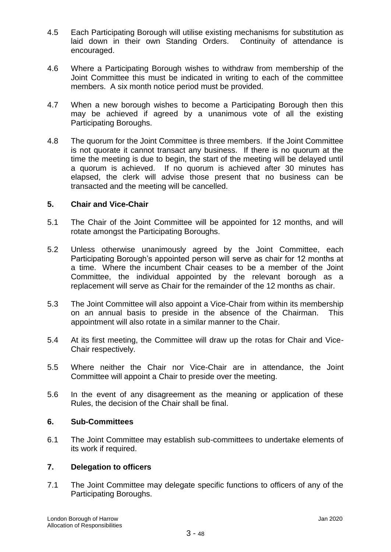- 4.5 Each Participating Borough will utilise existing mechanisms for substitution as laid down in their own Standing Orders. Continuity of attendance is encouraged.
- 4.6 Where a Participating Borough wishes to withdraw from membership of the Joint Committee this must be indicated in writing to each of the committee members. A six month notice period must be provided.
- 4.7 When a new borough wishes to become a Participating Borough then this may be achieved if agreed by a unanimous vote of all the existing Participating Boroughs.
- 4.8 The quorum for the Joint Committee is three members. If the Joint Committee is not quorate it cannot transact any business. If there is no quorum at the time the meeting is due to begin, the start of the meeting will be delayed until a quorum is achieved. If no quorum is achieved after 30 minutes has elapsed, the clerk will advise those present that no business can be transacted and the meeting will be cancelled.

# **5. Chair and Vice-Chair**

- 5.1 The Chair of the Joint Committee will be appointed for 12 months, and will rotate amongst the Participating Boroughs.
- 5.2 Unless otherwise unanimously agreed by the Joint Committee, each Participating Borough's appointed person will serve as chair for 12 months at a time. Where the incumbent Chair ceases to be a member of the Joint Committee, the individual appointed by the relevant borough as a replacement will serve as Chair for the remainder of the 12 months as chair.
- 5.3 The Joint Committee will also appoint a Vice-Chair from within its membership on an annual basis to preside in the absence of the Chairman. This appointment will also rotate in a similar manner to the Chair.
- 5.4 At its first meeting, the Committee will draw up the rotas for Chair and Vice-Chair respectively.
- 5.5 Where neither the Chair nor Vice-Chair are in attendance, the Joint Committee will appoint a Chair to preside over the meeting.
- 5.6 In the event of any disagreement as the meaning or application of these Rules, the decision of the Chair shall be final.

# **6. Sub-Committees**

6.1 The Joint Committee may establish sub-committees to undertake elements of its work if required.

# **7. Delegation to officers**

7.1 The Joint Committee may delegate specific functions to officers of any of the Participating Boroughs.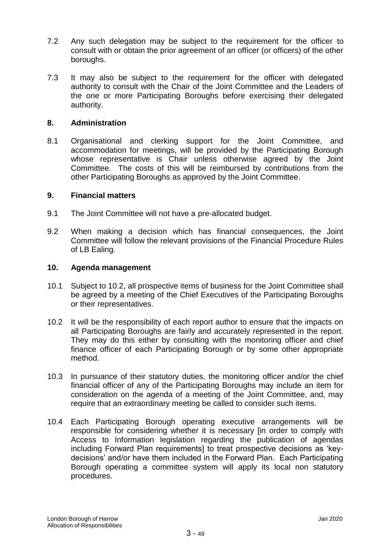- 7.2 Any such delegation may be subject to the requirement for the officer to consult with or obtain the prior agreement of an officer (or officers) of the other boroughs.
- 7.3 It may also be subject to the requirement for the officer with delegated authority to consult with the Chair of the Joint Committee and the Leaders of the one or more Participating Boroughs before exercising their delegated authority.

#### **8. Administration**

8.1 Organisational and clerking support for the Joint Committee, and accommodation for meetings, will be provided by the Participating Borough whose representative is Chair unless otherwise agreed by the Joint Committee. The costs of this will be reimbursed by contributions from the other Participating Boroughs as approved by the Joint Committee.

#### **9. Financial matters**

- 9.1 The Joint Committee will not have a pre-allocated budget.
- 9.2 When making a decision which has financial consequences, the Joint Committee will follow the relevant provisions of the Financial Procedure Rules of LB Ealing.

#### **10. Agenda management**

- 10.1 Subject to 10.2, all prospective items of business for the Joint Committee shall be agreed by a meeting of the Chief Executives of the Participating Boroughs or their representatives.
- 10.2 It will be the responsibility of each report author to ensure that the impacts on all Participating Boroughs are fairly and accurately represented in the report. They may do this either by consulting with the monitoring officer and chief finance officer of each Participating Borough or by some other appropriate method.
- 10.3 In pursuance of their statutory duties, the monitoring officer and/or the chief financial officer of any of the Participating Boroughs may include an item for consideration on the agenda of a meeting of the Joint Committee, and, may require that an extraordinary meeting be called to consider such items.
- 10.4 Each Participating Borough operating executive arrangements will be responsible for considering whether it is necessary [in order to comply with Access to Information legislation regarding the publication of agendas including Forward Plan requirements] to treat prospective decisions as 'keydecisions' and/or have them included in the Forward Plan. Each Participating Borough operating a committee system will apply its local non statutory procedures.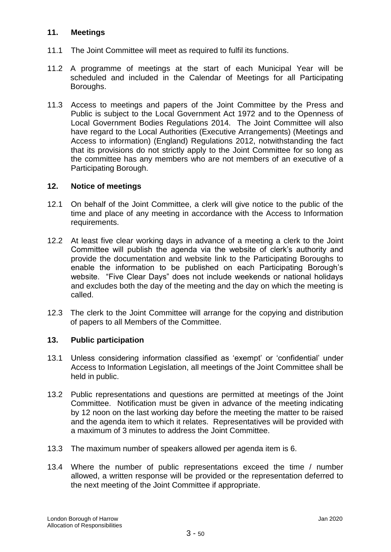# **11. Meetings**

- 11.1 The Joint Committee will meet as required to fulfil its functions.
- 11.2 A programme of meetings at the start of each Municipal Year will be scheduled and included in the Calendar of Meetings for all Participating Boroughs.
- 11.3 Access to meetings and papers of the Joint Committee by the Press and Public is subject to the Local Government Act 1972 and to the Openness of Local Government Bodies Regulations 2014. The Joint Committee will also have regard to the Local Authorities (Executive Arrangements) (Meetings and Access to information) (England) Regulations 2012, notwithstanding the fact that its provisions do not strictly apply to the Joint Committee for so long as the committee has any members who are not members of an executive of a Participating Borough.

# **12. Notice of meetings**

- 12.1 On behalf of the Joint Committee, a clerk will give notice to the public of the time and place of any meeting in accordance with the Access to Information requirements.
- 12.2 At least five clear working days in advance of a meeting a clerk to the Joint Committee will publish the agenda via the website of clerk's authority and provide the documentation and website link to the Participating Boroughs to enable the information to be published on each Participating Borough's website. "Five Clear Days" does not include weekends or national holidays and excludes both the day of the meeting and the day on which the meeting is called.
- 12.3 The clerk to the Joint Committee will arrange for the copying and distribution of papers to all Members of the Committee.

# **13. Public participation**

- 13.1 Unless considering information classified as 'exempt' or 'confidential' under Access to Information Legislation, all meetings of the Joint Committee shall be held in public.
- 13.2 Public representations and questions are permitted at meetings of the Joint Committee. Notification must be given in advance of the meeting indicating by 12 noon on the last working day before the meeting the matter to be raised and the agenda item to which it relates. Representatives will be provided with a maximum of 3 minutes to address the Joint Committee.
- 13.3 The maximum number of speakers allowed per agenda item is 6.
- 13.4 Where the number of public representations exceed the time / number allowed, a written response will be provided or the representation deferred to the next meeting of the Joint Committee if appropriate.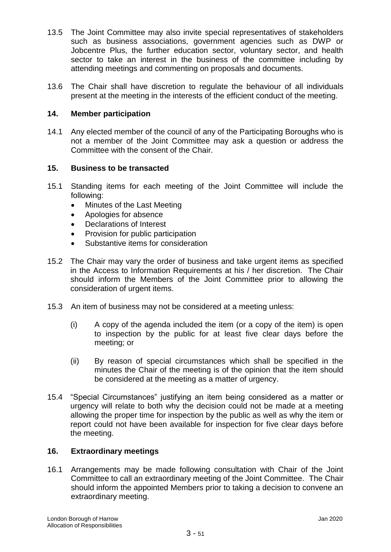- 13.5 The Joint Committee may also invite special representatives of stakeholders such as business associations, government agencies such as DWP or Jobcentre Plus, the further education sector, voluntary sector, and health sector to take an interest in the business of the committee including by attending meetings and commenting on proposals and documents.
- 13.6 The Chair shall have discretion to regulate the behaviour of all individuals present at the meeting in the interests of the efficient conduct of the meeting.

# **14. Member participation**

14.1 Any elected member of the council of any of the Participating Boroughs who is not a member of the Joint Committee may ask a question or address the Committee with the consent of the Chair.

# **15. Business to be transacted**

- 15.1 Standing items for each meeting of the Joint Committee will include the following:
	- Minutes of the Last Meeting
	- Apologies for absence
	- Declarations of Interest
	- Provision for public participation
	- Substantive items for consideration
- 15.2 The Chair may vary the order of business and take urgent items as specified in the Access to Information Requirements at his / her discretion. The Chair should inform the Members of the Joint Committee prior to allowing the consideration of urgent items.
- 15.3 An item of business may not be considered at a meeting unless:
	- (i) A copy of the agenda included the item (or a copy of the item) is open to inspection by the public for at least five clear days before the meeting; or
	- (ii) By reason of special circumstances which shall be specified in the minutes the Chair of the meeting is of the opinion that the item should be considered at the meeting as a matter of urgency.
- 15.4 "Special Circumstances" justifying an item being considered as a matter or urgency will relate to both why the decision could not be made at a meeting allowing the proper time for inspection by the public as well as why the item or report could not have been available for inspection for five clear days before the meeting.

# **16. Extraordinary meetings**

16.1 Arrangements may be made following consultation with Chair of the Joint Committee to call an extraordinary meeting of the Joint Committee. The Chair should inform the appointed Members prior to taking a decision to convene an extraordinary meeting.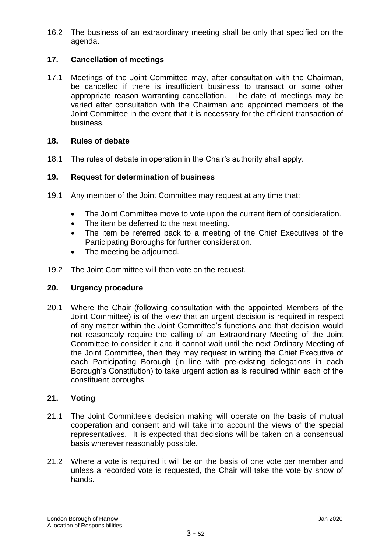16.2 The business of an extraordinary meeting shall be only that specified on the agenda.

# **17. Cancellation of meetings**

17.1 Meetings of the Joint Committee may, after consultation with the Chairman, be cancelled if there is insufficient business to transact or some other appropriate reason warranting cancellation. The date of meetings may be varied after consultation with the Chairman and appointed members of the Joint Committee in the event that it is necessary for the efficient transaction of business.

# **18. Rules of debate**

18.1 The rules of debate in operation in the Chair's authority shall apply.

#### **19. Request for determination of business**

- 19.1 Any member of the Joint Committee may request at any time that:
	- The Joint Committee move to vote upon the current item of consideration.
	- The item be deferred to the next meeting.
	- The item be referred back to a meeting of the Chief Executives of the Participating Boroughs for further consideration.
	- The meeting be adjourned.
- 19.2 The Joint Committee will then vote on the request.

#### **20. Urgency procedure**

20.1 Where the Chair (following consultation with the appointed Members of the Joint Committee) is of the view that an urgent decision is required in respect of any matter within the Joint Committee's functions and that decision would not reasonably require the calling of an Extraordinary Meeting of the Joint Committee to consider it and it cannot wait until the next Ordinary Meeting of the Joint Committee, then they may request in writing the Chief Executive of each Participating Borough (in line with pre-existing delegations in each Borough's Constitution) to take urgent action as is required within each of the constituent boroughs.

# **21. Voting**

- 21.1 The Joint Committee's decision making will operate on the basis of mutual cooperation and consent and will take into account the views of the special representatives. It is expected that decisions will be taken on a consensual basis wherever reasonably possible.
- 21.2 Where a vote is required it will be on the basis of one vote per member and unless a recorded vote is requested, the Chair will take the vote by show of hands.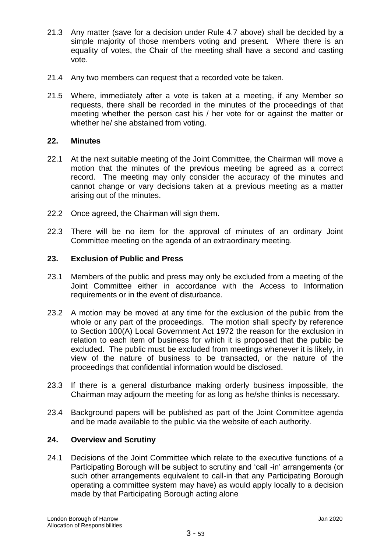- 21.3 Any matter (save for a decision under Rule 4.7 above) shall be decided by a simple majority of those members voting and present. Where there is an equality of votes, the Chair of the meeting shall have a second and casting vote.
- 21.4 Any two members can request that a recorded vote be taken.
- 21.5 Where, immediately after a vote is taken at a meeting, if any Member so requests, there shall be recorded in the minutes of the proceedings of that meeting whether the person cast his / her vote for or against the matter or whether he/ she abstained from voting.

# **22. Minutes**

- 22.1 At the next suitable meeting of the Joint Committee, the Chairman will move a motion that the minutes of the previous meeting be agreed as a correct record. The meeting may only consider the accuracy of the minutes and cannot change or vary decisions taken at a previous meeting as a matter arising out of the minutes.
- 22.2 Once agreed, the Chairman will sign them.
- 22.3 There will be no item for the approval of minutes of an ordinary Joint Committee meeting on the agenda of an extraordinary meeting.

#### **23. Exclusion of Public and Press**

- 23.1 Members of the public and press may only be excluded from a meeting of the Joint Committee either in accordance with the Access to Information requirements or in the event of disturbance.
- 23.2 A motion may be moved at any time for the exclusion of the public from the whole or any part of the proceedings. The motion shall specify by reference to Section 100(A) Local Government Act 1972 the reason for the exclusion in relation to each item of business for which it is proposed that the public be excluded. The public must be excluded from meetings whenever it is likely, in view of the nature of business to be transacted, or the nature of the proceedings that confidential information would be disclosed.
- 23.3 If there is a general disturbance making orderly business impossible, the Chairman may adjourn the meeting for as long as he/she thinks is necessary.
- 23.4 Background papers will be published as part of the Joint Committee agenda and be made available to the public via the website of each authority.

#### **24. Overview and Scrutiny**

24.1 Decisions of the Joint Committee which relate to the executive functions of a Participating Borough will be subject to scrutiny and 'call -in' arrangements (or such other arrangements equivalent to call-in that any Participating Borough operating a committee system may have) as would apply locally to a decision made by that Participating Borough acting alone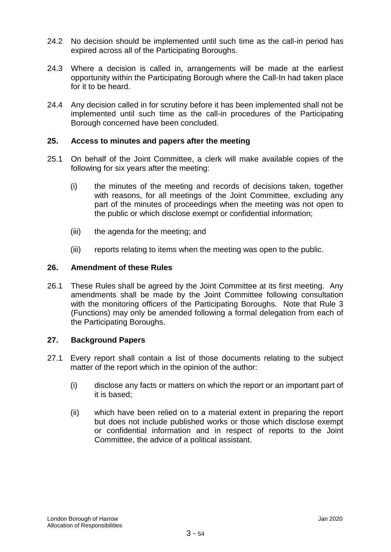- 24.2 No decision should be implemented until such time as the call-in period has expired across all of the Participating Boroughs.
- 24.3 Where a decision is called in, arrangements will be made at the earliest opportunity within the Participating Borough where the Call-In had taken place for it to be heard.
- 24.4 Any decision called in for scrutiny before it has been implemented shall not be implemented until such time as the call-in procedures of the Participating Borough concerned have been concluded.

# **25. Access to minutes and papers after the meeting**

- 25.1 On behalf of the Joint Committee, a clerk will make available copies of the following for six years after the meeting:
	- (i) the minutes of the meeting and records of decisions taken, together with reasons, for all meetings of the Joint Committee, excluding any part of the minutes of proceedings when the meeting was not open to the public or which disclose exempt or confidential information;
	- (iii) the agenda for the meeting; and
	- (iii) reports relating to items when the meeting was open to the public.

# **26. Amendment of these Rules**

26.1 These Rules shall be agreed by the Joint Committee at its first meeting. Any amendments shall be made by the Joint Committee following consultation with the monitoring officers of the Participating Boroughs. Note that Rule 3 (Functions) may only be amended following a formal delegation from each of the Participating Boroughs.

# **27. Background Papers**

- 27.1 Every report shall contain a list of those documents relating to the subject matter of the report which in the opinion of the author:
	- (i) disclose any facts or matters on which the report or an important part of it is based;
	- (ii) which have been relied on to a material extent in preparing the report but does not include published works or those which disclose exempt or confidential information and in respect of reports to the Joint Committee, the advice of a political assistant.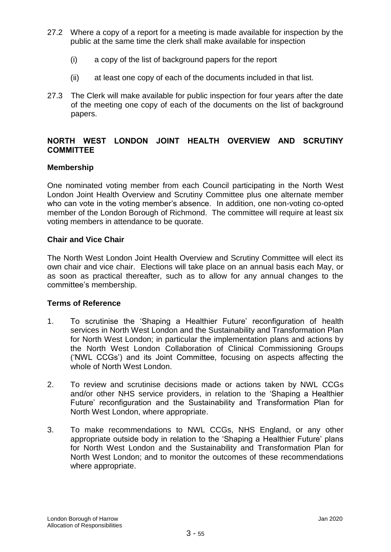- 27.2 Where a copy of a report for a meeting is made available for inspection by the public at the same time the clerk shall make available for inspection
	- (i) a copy of the list of background papers for the report
	- (ii) at least one copy of each of the documents included in that list.
- 27.3 The Clerk will make available for public inspection for four years after the date of the meeting one copy of each of the documents on the list of background papers.

# **NORTH WEST LONDON JOINT HEALTH OVERVIEW AND SCRUTINY COMMITTEE**

# **Membership**

One nominated voting member from each Council participating in the North West London Joint Health Overview and Scrutiny Committee plus one alternate member who can vote in the voting member's absence. In addition, one non-voting co-opted member of the London Borough of Richmond. The committee will require at least six voting members in attendance to be quorate.

# **Chair and Vice Chair**

The North West London Joint Health Overview and Scrutiny Committee will elect its own chair and vice chair. Elections will take place on an annual basis each May, or as soon as practical thereafter, such as to allow for any annual changes to the committee's membership.

# **Terms of Reference**

- 1. To scrutinise the 'Shaping a Healthier Future' reconfiguration of health services in North West London and the Sustainability and Transformation Plan for North West London; in particular the implementation plans and actions by the North West London Collaboration of Clinical Commissioning Groups ('NWL CCGs') and its Joint Committee, focusing on aspects affecting the whole of North West London.
- 2. To review and scrutinise decisions made or actions taken by NWL CCGs and/or other NHS service providers, in relation to the 'Shaping a Healthier Future' reconfiguration and the Sustainability and Transformation Plan for North West London, where appropriate.
- 3. To make recommendations to NWL CCGs, NHS England, or any other appropriate outside body in relation to the 'Shaping a Healthier Future' plans for North West London and the Sustainability and Transformation Plan for North West London; and to monitor the outcomes of these recommendations where appropriate.